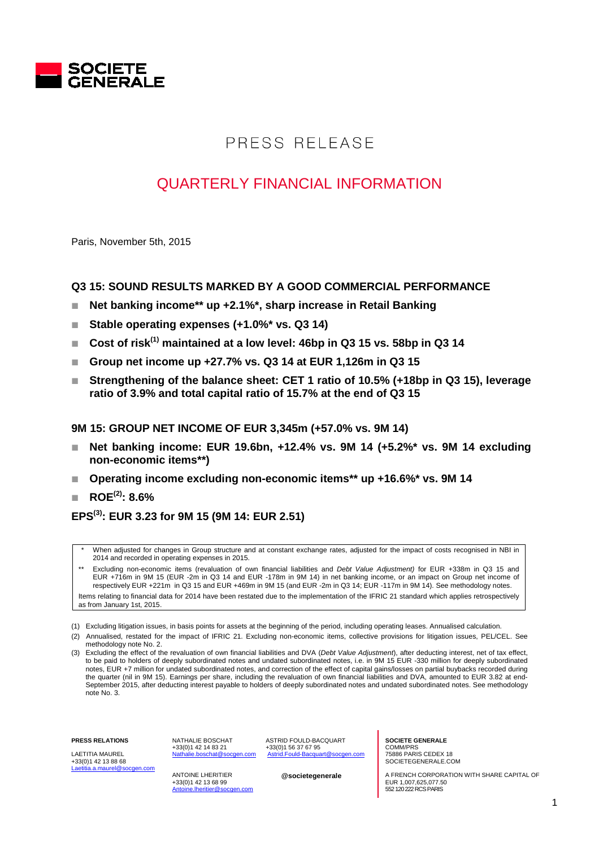

# PRESS RELEASE

## QUARTERLY FINANCIAL INFORMATION

Paris, November 5th, 2015

#### **Q3 15: SOUND RESULTS MARKED BY A GOOD COMMERCIAL PERFORMANCE**

- Net banking income<sup>\*\*</sup> up +2.1%<sup>\*</sup>, sharp increase in Retail Banking
- Stable operating expenses (+1.0%<sup>\*</sup> vs. Q3 14)
- Cost of risk<sup>(1)</sup> maintained at a low level: 46bp in Q3 15 vs. 58bp in Q3 14
- **Group net income up +27.7% vs. Q3 14 at EUR 1,126m in Q3 15**
- **Strengthening of the balance sheet: CET 1 ratio of 10.5% (+18bp in Q3 15), leverage ratio of 3.9% and total capital ratio of 15.7% at the end of Q3 15**

#### **9M 15: GROUP NET INCOME OF EUR 3,345m (+57.0% vs. 9M 14)**

- Net banking income: EUR 19.6bn, +12.4% vs. 9M 14 (+5.2%<sup>\*</sup> vs. 9M 14 excluding **non-economic items\*\*)**
- Operating income excluding non-economic items<sup>\*\*</sup> up +16.6%<sup>\*</sup> vs. 9M 14
- **ROE(2): 8.6%**

**EPS(3): EUR 3.23 for 9M 15 (9M 14: EUR 2.51)** 

When adjusted for changes in Group structure and at constant exchange rates, adjusted for the impact of costs recognised in NBI in 2014 and recorded in operating expenses in 2015.

Excluding non-economic items (revaluation of own financial liabilities and Debt Value Adjustment) for EUR +338m in Q3 15 and EUR +716m in 9M 15 (EUR -2m in Q3 14 and EUR -178m in 9M 14) in net banking income, or an impact on Group net income of respectively EUR +221m in Q3 15 and EUR +469m in 9M 15 (and EUR -2m in Q3 14; EUR -117m in 9M 14). See methodology notes. Items relating to financial data for 2014 have been restated due to the implementation of the IFRIC 21 standard which applies retrospectively as from January 1st, 2015.

(1) Excluding litigation issues, in basis points for assets at the beginning of the period, including operating leases. Annualised calculation.

(3) Excluding the effect of the revaluation of own financial liabilities and DVA (Debt Value Adjustment), after deducting interest, net of tax effect, to be paid to holders of deeply subordinated notes and undated subordinated notes, i.e. in 9M 15 EUR -330 million for deeply subordinated notes, EUR +7 million for undated subordinated notes, and correction of the effect of capital gains/losses on partial buybacks recorded during the quarter (nil in 9M 15). Earnings per share, including the revaluation of own financial liabilities and DVA, amounted to EUR 3.82 at end-September 2015, after deducting interest payable to holders of deeply subordinated notes and undated subordinated notes. See methodology note No. 3.

#### **PRESS RELATIONS**

LAETITIA MAUREL +33(0)1 42 13 88 68 Laetitia.a.maurel@socgen.com NATHALIE BOSCHAT +33(0)1 42 14 83 21 Nathalie.boschat@socgen.com

ANTOINE LHERITIER +33(0)1 42 13 68 99 Antoine.lheritier@socgen.com

ASTRID FOULD-BACQUART +33(0)1 56 37 67 95 Astrid.Fould-Bacquart

 **@societegenerale** 

**SOCIETE GENERALE**  COMM/PRS 75886 PARIS CEDEX 18 SOCIETEGENERALE.COM

A FRENCH CORPORATION WITH SHARE CAPITAL OF EUR 1,007,625,077.50 552 120 222 RCS PARIS

<sup>(2)</sup> Annualised, restated for the impact of IFRIC 21. Excluding non-economic items, collective provisions for litigation issues, PEL/CEL. See methodology note No. 2.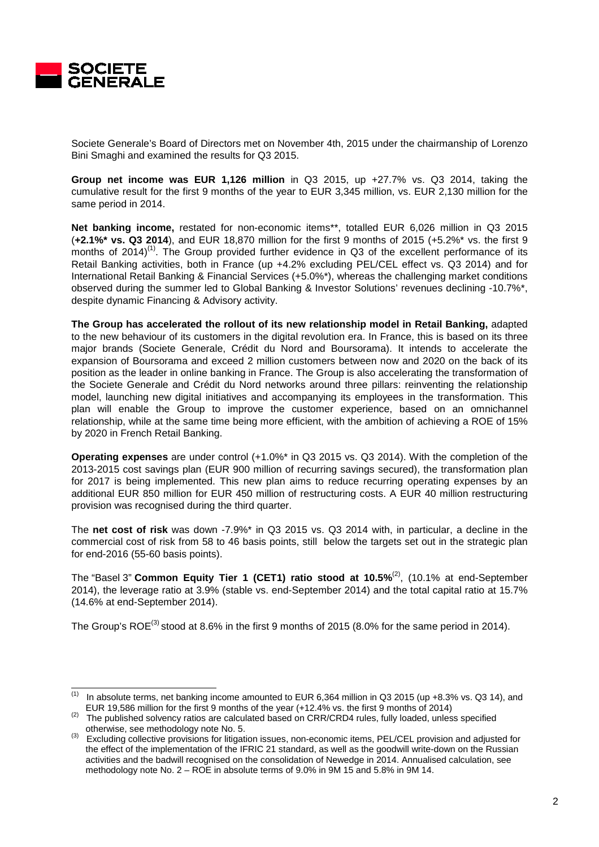

Societe Generale's Board of Directors met on November 4th, 2015 under the chairmanship of Lorenzo Bini Smaghi and examined the results for Q3 2015.

**Group net income was EUR 1,126 million** in Q3 2015, up +27.7% vs. Q3 2014, taking the cumulative result for the first 9 months of the year to EUR 3,345 million, vs. EUR 2,130 million for the same period in 2014.

**Net banking income,** restated for non-economic items\*\*, totalled EUR 6,026 million in Q3 2015 (**+2.1%\* vs. Q3 2014**), and EUR 18,870 million for the first 9 months of 2015 (+5.2%\* vs. the first 9 months of  $2014$ <sup>(1)</sup>. The Group provided further evidence in Q3 of the excellent performance of its Retail Banking activities, both in France (up +4.2% excluding PEL/CEL effect vs. Q3 2014) and for International Retail Banking & Financial Services (+5.0%\*), whereas the challenging market conditions observed during the summer led to Global Banking & Investor Solutions' revenues declining -10.7%\*, despite dynamic Financing & Advisory activity.

**The Group has accelerated the rollout of its new relationship model in Retail Banking,** adapted to the new behaviour of its customers in the digital revolution era. In France, this is based on its three major brands (Societe Generale, Crédit du Nord and Boursorama). It intends to accelerate the expansion of Boursorama and exceed 2 million customers between now and 2020 on the back of its position as the leader in online banking in France. The Group is also accelerating the transformation of the Societe Generale and Crédit du Nord networks around three pillars: reinventing the relationship model, launching new digital initiatives and accompanying its employees in the transformation. This plan will enable the Group to improve the customer experience, based on an omnichannel relationship, while at the same time being more efficient, with the ambition of achieving a ROE of 15% by 2020 in French Retail Banking.

**Operating expenses** are under control (+1.0%\* in Q3 2015 vs. Q3 2014). With the completion of the 2013-2015 cost savings plan (EUR 900 million of recurring savings secured), the transformation plan for 2017 is being implemented. This new plan aims to reduce recurring operating expenses by an additional EUR 850 million for EUR 450 million of restructuring costs. A EUR 40 million restructuring provision was recognised during the third quarter.

The **net cost of risk** was down -7.9%\* in Q3 2015 vs. Q3 2014 with, in particular, a decline in the commercial cost of risk from 58 to 46 basis points, still below the targets set out in the strategic plan for end-2016 (55-60 basis points).

The "Basel 3" **Common Equity Tier 1 (CET1) ratio stood at 10.5%**(2), (10.1% at end-September 2014), the leverage ratio at 3.9% (stable vs. end-September 2014) and the total capital ratio at 15.7% (14.6% at end-September 2014).

The Group's  $ROE^{(3)}$  stood at 8.6% in the first 9 months of 2015 (8.0% for the same period in 2014).

 $(1)$ In absolute terms, net banking income amounted to EUR 6,364 million in Q3 2015 (up +8.3% vs. Q3 14), and EUR 19,586 million for the first 9 months of the year (+12.4% vs. the first 9 months of 2014)

<sup>(2)</sup> The published solvency ratios are calculated based on CRR/CRD4 rules, fully loaded, unless specified otherwise, see methodology note No. 5.

<sup>(3)</sup> Excluding collective provisions for litigation issues, non-economic items, PEL/CEL provision and adjusted for the effect of the implementation of the IFRIC 21 standard, as well as the goodwill write-down on the Russian activities and the badwill recognised on the consolidation of Newedge in 2014. Annualised calculation, see methodology note No. 2 – ROE in absolute terms of 9.0% in 9M 15 and 5.8% in 9M 14.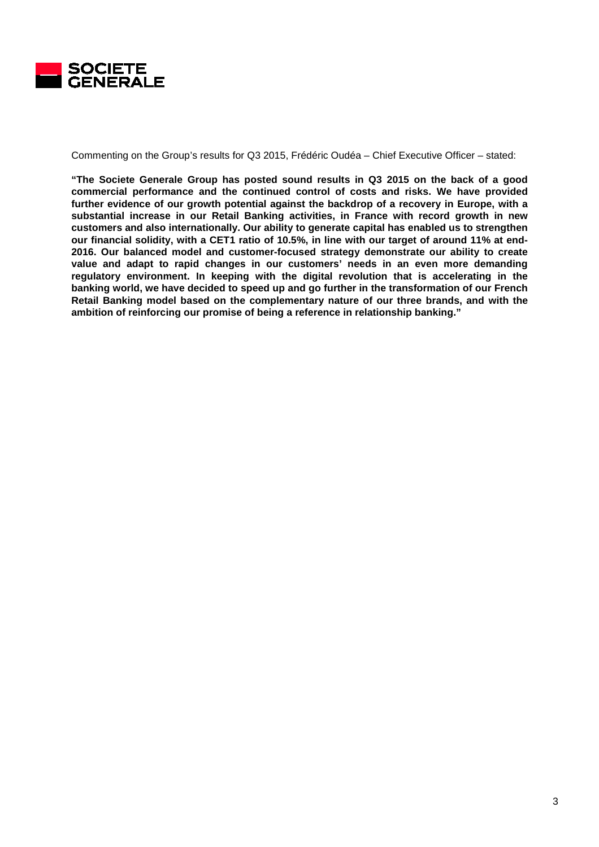

Commenting on the Group's results for Q3 2015, Frédéric Oudéa – Chief Executive Officer – stated:

**"The Societe Generale Group has posted sound results in Q3 2015 on the back of a good commercial performance and the continued control of costs and risks. We have provided further evidence of our growth potential against the backdrop of a recovery in Europe, with a substantial increase in our Retail Banking activities, in France with record growth in new customers and also internationally. Our ability to generate capital has enabled us to strengthen our financial solidity, with a CET1 ratio of 10.5%, in line with our target of around 11% at end-2016. Our balanced model and customer-focused strategy demonstrate our ability to create value and adapt to rapid changes in our customers' needs in an even more demanding regulatory environment. In keeping with the digital revolution that is accelerating in the banking world, we have decided to speed up and go further in the transformation of our French Retail Banking model based on the complementary nature of our three brands, and with the ambition of reinforcing our promise of being a reference in relationship banking."**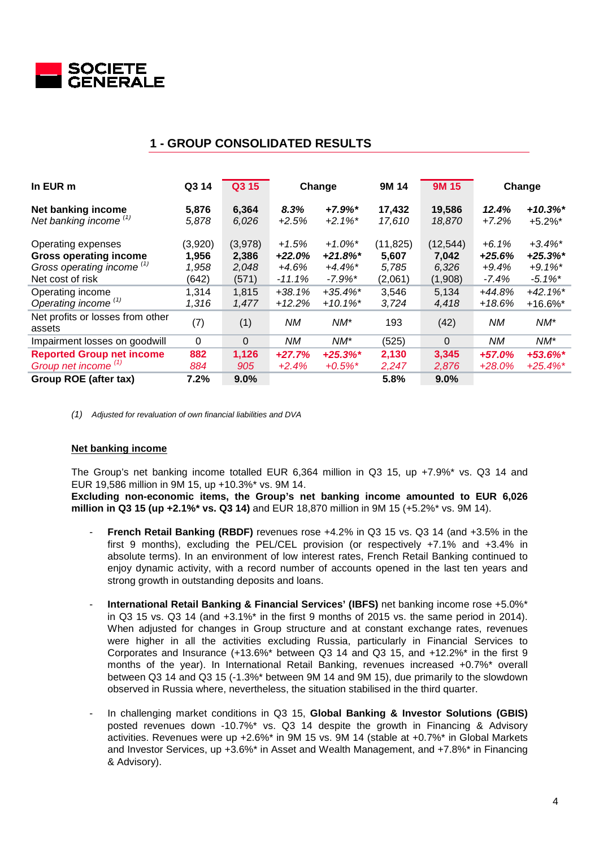

### **1 - GROUP CONSOLIDATED RESULTS**

| In EUR m                                   | Q3 14    | Q3 15    |           | Change                 | 9M 14     | <b>9M15</b> |           | Change                 |
|--------------------------------------------|----------|----------|-----------|------------------------|-----------|-------------|-----------|------------------------|
| Net banking income                         | 5,876    | 6,364    | 8.3%      | $+7.9%$ <sup>*</sup>   | 17,432    | 19,586      | 12.4%     | $+10.3\%$ <sup>*</sup> |
| Net banking income $(1)$                   | 5,878    | 6,026    | $+2.5%$   | $+2.1\%$ <sup>*</sup>  | 17,610    | 18,870      | $+7.2%$   | $+5.2\%$ <sup>*</sup>  |
| Operating expenses                         | (3,920)  | (3,978)  | $+1.5%$   | $+1.0\%$ <sup>*</sup>  | (11, 825) | (12, 544)   | $+6.1%$   | $+3.4\%$ <sup>*</sup>  |
| <b>Gross operating income</b>              | 1,956    | 2,386    | $+22.0%$  | $+21.8\%$ <sup>*</sup> | 5,607     | 7,042       | $+25.6%$  | $+25.3%$               |
| Gross operating income <sup>(1)</sup>      | 1,958    | 2,048    | $+4.6%$   | $+4.4\%$ <sup>*</sup>  | 5,785     | 6,326       | $+9.4\%$  | $+9.1\%$ <sup>*</sup>  |
| Net cost of risk                           | (642)    | (571)    | -11.1%    | $-7.9\%$ <sup>*</sup>  | (2,061)   | (1,908)     | -7.4%     | $-5.1\%$ <sup>*</sup>  |
| Operating income                           | 1,314    | 1,815    | $+38.1%$  | $+35.4\%$ <sup>*</sup> | 3,546     | 5,134       | +44.8%    | $+42.1\%$ <sup>*</sup> |
| Operating income <sup>(1)</sup>            | 1,316    | 1,477    | $+12.2%$  | $+10.1\%$ <sup>*</sup> | 3,724     | 4,418       | $+18.6%$  | $+16.6\%$ <sup>*</sup> |
| Net profits or losses from other<br>assets | (7)      | (1)      | NM        | $NM^*$                 | 193       | (42)        | NM        | $NM^*$                 |
| Impairment losses on goodwill              | $\Omega$ | $\Omega$ | <b>NM</b> | $NM^*$                 | (525)     | $\Omega$    | <b>NM</b> | $NM^*$                 |
| <b>Reported Group net income</b>           | 882      | 1,126    | $+27.7%$  | $+25.3\%$              | 2,130     | 3,345       | $+57.0%$  | $+53.6\%$ *            |
| Group net income <sup>(1)</sup>            | 884      | 905      | $+2.4%$   | $+0.5\%$ <sup>*</sup>  | 2,247     | 2,876       | $+28.0%$  | $+25.4\%$ <sup>*</sup> |
| Group ROE (after tax)                      | 7.2%     | 9.0%     |           |                        | 5.8%      | $9.0\%$     |           |                        |

(1) Adjusted for revaluation of own financial liabilities and DVA

#### **Net banking income**

The Group's net banking income totalled EUR 6,364 million in Q3 15, up +7.9%\* vs. Q3 14 and EUR 19,586 million in 9M 15, up +10.3%\* vs. 9M 14.

**Excluding non-economic items, the Group's net banking income amounted to EUR 6,026 million in Q3 15 (up +2.1%\* vs. Q3 14)** and EUR 18,870 million in 9M 15 (+5.2%\* vs. 9M 14).

- **French Retail Banking (RBDF)** revenues rose +4.2% in Q3 15 vs. Q3 14 (and +3.5% in the first 9 months), excluding the PEL/CEL provision (or respectively +7.1% and +3.4% in absolute terms). In an environment of low interest rates, French Retail Banking continued to enjoy dynamic activity, with a record number of accounts opened in the last ten years and strong growth in outstanding deposits and loans.
- **International Retail Banking & Financial Services' (IBFS)** net banking income rose +5.0%\* in Q3 15 vs. Q3 14 (and  $+3.1\%$ <sup>\*</sup> in the first 9 months of 2015 vs. the same period in 2014). When adjusted for changes in Group structure and at constant exchange rates, revenues were higher in all the activities excluding Russia, particularly in Financial Services to Corporates and Insurance (+13.6%\* between Q3 14 and Q3 15, and +12.2%\* in the first 9 months of the year). In International Retail Banking, revenues increased +0.7%\* overall between Q3 14 and Q3 15 (-1.3%\* between 9M 14 and 9M 15), due primarily to the slowdown observed in Russia where, nevertheless, the situation stabilised in the third quarter.
- In challenging market conditions in Q3 15, **Global Banking & Investor Solutions (GBIS)**  posted revenues down -10.7%\* vs. Q3 14 despite the growth in Financing & Advisory activities. Revenues were up +2.6%\* in 9M 15 vs. 9M 14 (stable at +0.7%\* in Global Markets and Investor Services, up +3.6%\* in Asset and Wealth Management, and +7.8%\* in Financing & Advisory).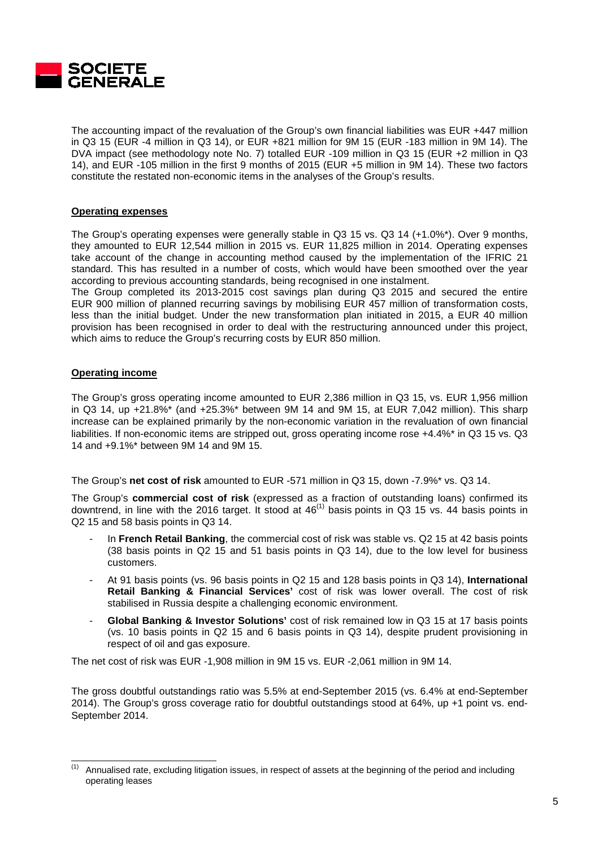

The accounting impact of the revaluation of the Group's own financial liabilities was EUR +447 million in Q3 15 (EUR -4 million in Q3 14), or EUR +821 million for 9M 15 (EUR -183 million in 9M 14). The DVA impact (see methodology note No. 7) totalled EUR -109 million in Q3 15 (EUR +2 million in Q3 14), and EUR -105 million in the first 9 months of 2015 (EUR +5 million in 9M 14). These two factors constitute the restated non-economic items in the analyses of the Group's results.

#### **Operating expenses**

The Group's operating expenses were generally stable in Q3 15 vs. Q3 14 (+1.0%\*). Over 9 months, they amounted to EUR 12,544 million in 2015 vs. EUR 11,825 million in 2014. Operating expenses take account of the change in accounting method caused by the implementation of the IFRIC 21 standard. This has resulted in a number of costs, which would have been smoothed over the year according to previous accounting standards, being recognised in one instalment.

The Group completed its 2013-2015 cost savings plan during Q3 2015 and secured the entire EUR 900 million of planned recurring savings by mobilising EUR 457 million of transformation costs, less than the initial budget. Under the new transformation plan initiated in 2015, a EUR 40 million provision has been recognised in order to deal with the restructuring announced under this project, which aims to reduce the Group's recurring costs by EUR 850 million.

#### **Operating income**

The Group's gross operating income amounted to EUR 2,386 million in Q3 15, vs. EUR 1,956 million in Q3 14, up +21.8%\* (and +25.3%\* between 9M 14 and 9M 15, at EUR 7,042 million). This sharp increase can be explained primarily by the non-economic variation in the revaluation of own financial liabilities. If non-economic items are stripped out, gross operating income rose +4.4%\* in Q3 15 vs. Q3 14 and +9.1%\* between 9M 14 and 9M 15.

The Group's **net cost of risk** amounted to EUR -571 million in Q3 15, down -7.9%\* vs. Q3 14.

The Group's **commercial cost of risk** (expressed as a fraction of outstanding loans) confirmed its downtrend, in line with the 2016 target. It stood at  $46^{(1)}$  basis points in Q3 15 vs. 44 basis points in Q2 15 and 58 basis points in Q3 14.

- In **French Retail Banking**, the commercial cost of risk was stable vs. Q2 15 at 42 basis points (38 basis points in Q2 15 and 51 basis points in Q3 14), due to the low level for business customers.
- At 91 basis points (vs. 96 basis points in Q2 15 and 128 basis points in Q3 14), **International Retail Banking & Financial Services'** cost of risk was lower overall. The cost of risk stabilised in Russia despite a challenging economic environment.
- **Global Banking & Investor Solutions'** cost of risk remained low in Q3 15 at 17 basis points (vs. 10 basis points in Q2 15 and 6 basis points in Q3 14), despite prudent provisioning in respect of oil and gas exposure.

The net cost of risk was EUR -1,908 million in 9M 15 vs. EUR -2,061 million in 9M 14.

The gross doubtful outstandings ratio was 5.5% at end-September 2015 (vs. 6.4% at end-September 2014). The Group's gross coverage ratio for doubtful outstandings stood at 64%, up +1 point vs. end-September 2014.

 $(1)$ (1) Annualised rate, excluding litigation issues, in respect of assets at the beginning of the period and including operating leases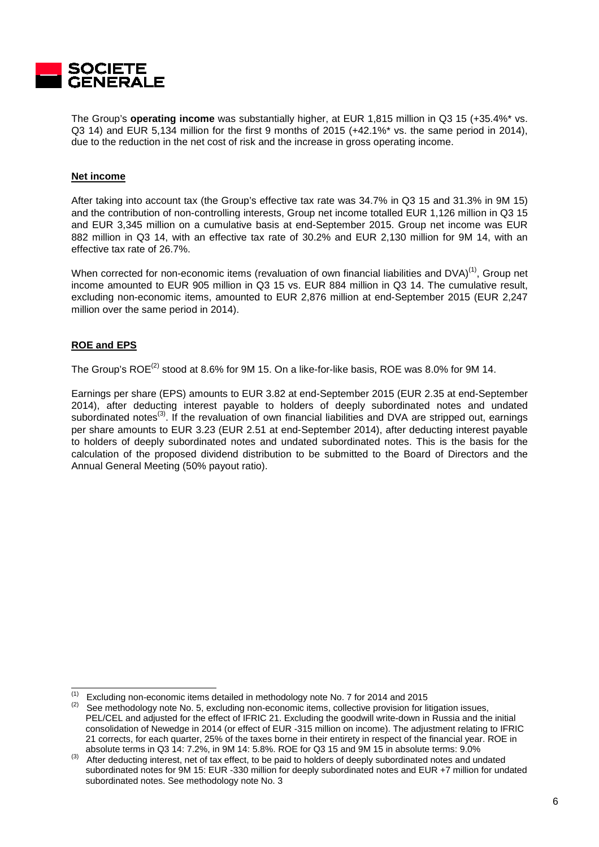

The Group's **operating income** was substantially higher, at EUR 1,815 million in Q3 15 (+35.4%\* vs. Q3 14) and EUR 5,134 million for the first 9 months of 2015 (+42.1%\* vs. the same period in 2014), due to the reduction in the net cost of risk and the increase in gross operating income.

### **Net income**

After taking into account tax (the Group's effective tax rate was 34.7% in Q3 15 and 31.3% in 9M 15) and the contribution of non-controlling interests, Group net income totalled EUR 1,126 million in Q3 15 and EUR 3,345 million on a cumulative basis at end-September 2015. Group net income was EUR 882 million in Q3 14, with an effective tax rate of 30.2% and EUR 2,130 million for 9M 14, with an effective tax rate of 26.7%.

When corrected for non-economic items (revaluation of own financial liabilities and DVA)<sup>(1)</sup>, Group net income amounted to EUR 905 million in Q3 15 vs. EUR 884 million in Q3 14. The cumulative result, excluding non-economic items, amounted to EUR 2,876 million at end-September 2015 (EUR 2,247 million over the same period in 2014).

### **ROE and EPS**

The Group's  $ROE^{(2)}$  stood at 8.6% for 9M 15. On a like-for-like basis, ROE was 8.0% for 9M 14.

Earnings per share (EPS) amounts to EUR 3.82 at end-September 2015 (EUR 2.35 at end-September 2014), after deducting interest payable to holders of deeply subordinated notes and undated subordinated notes<sup>(3)</sup>. If the revaluation of own financial liabilities and DVA are stripped out, earnings per share amounts to EUR 3.23 (EUR 2.51 at end-September 2014), after deducting interest payable to holders of deeply subordinated notes and undated subordinated notes. This is the basis for the calculation of the proposed dividend distribution to be submitted to the Board of Directors and the Annual General Meeting (50% payout ratio).

l Excluding non-economic items detailed in methodology note No. 7 for 2014 and 2015

See methodology note No. 5, excluding non-economic items, collective provision for litigation issues, PEL/CEL and adjusted for the effect of IFRIC 21. Excluding the goodwill write-down in Russia and the initial consolidation of Newedge in 2014 (or effect of EUR -315 million on income). The adjustment relating to IFRIC 21 corrects, for each quarter, 25% of the taxes borne in their entirety in respect of the financial year. ROE in absolute terms in Q3 14: 7.2%, in 9M 14: 5.8%. ROE for Q3 15 and 9M 15 in absolute terms: 9.0%

<sup>(3)</sup> After deducting interest, net of tax effect, to be paid to holders of deeply subordinated notes and undated subordinated notes for 9M 15: EUR -330 million for deeply subordinated notes and EUR +7 million for undated subordinated notes. See methodology note No. 3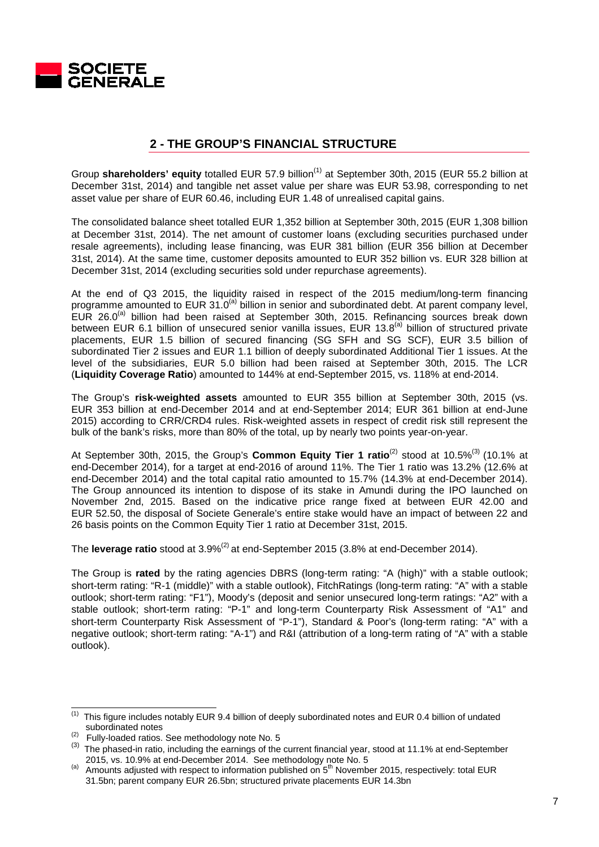

### **2 - THE GROUP'S FINANCIAL STRUCTURE**

Group **shareholders' equity** totalled EUR 57.9 billion<sup>(1)</sup> at September 30th, 2015 (EUR 55.2 billion at December 31st, 2014) and tangible net asset value per share was EUR 53.98, corresponding to net asset value per share of EUR 60.46, including EUR 1.48 of unrealised capital gains.

The consolidated balance sheet totalled EUR 1,352 billion at September 30th, 2015 (EUR 1,308 billion at December 31st, 2014). The net amount of customer loans (excluding securities purchased under resale agreements), including lease financing, was EUR 381 billion (EUR 356 billion at December 31st, 2014). At the same time, customer deposits amounted to EUR 352 billion vs. EUR 328 billion at December 31st, 2014 (excluding securities sold under repurchase agreements).

At the end of Q3 2015, the liquidity raised in respect of the 2015 medium/long-term financing programme amounted to EUR  $31.0^{(a)}$  billion in senior and subordinated debt. At parent company level, EUR 26.0 $^{(a)}$  billion had been raised at September 30th, 2015. Refinancing sources break down between EUR 6.1 billion of unsecured senior vanilla issues, EUR 13.8<sup>(a)</sup> billion of structured private placements, EUR 1.5 billion of secured financing (SG SFH and SG SCF), EUR 3.5 billion of subordinated Tier 2 issues and EUR 1.1 billion of deeply subordinated Additional Tier 1 issues. At the level of the subsidiaries, EUR 5.0 billion had been raised at September 30th, 2015. The LCR (**Liquidity Coverage Ratio**) amounted to 144% at end-September 2015, vs. 118% at end-2014.

The Group's **risk-weighted assets** amounted to EUR 355 billion at September 30th, 2015 (vs. EUR 353 billion at end-December 2014 and at end-September 2014; EUR 361 billion at end-June 2015) according to CRR/CRD4 rules. Risk-weighted assets in respect of credit risk still represent the bulk of the bank's risks, more than 80% of the total, up by nearly two points year-on-year.

At September 30th, 2015, the Group's **Common Equity Tier 1 ratio**<sup>(2)</sup> stood at 10.5%<sup>(3)</sup> (10.1% at end-December 2014), for a target at end-2016 of around 11%. The Tier 1 ratio was 13.2% (12.6% at end-December 2014) and the total capital ratio amounted to 15.7% (14.3% at end-December 2014). The Group announced its intention to dispose of its stake in Amundi during the IPO launched on November 2nd, 2015. Based on the indicative price range fixed at between EUR 42.00 and EUR 52.50, the disposal of Societe Generale's entire stake would have an impact of between 22 and 26 basis points on the Common Equity Tier 1 ratio at December 31st, 2015.

The **leverage ratio** stood at 3.9%<sup>(2)</sup> at end-September 2015 (3.8% at end-December 2014).

The Group is **rated** by the rating agencies DBRS (long-term rating: "A (high)" with a stable outlook; short-term rating: "R-1 (middle)" with a stable outlook), FitchRatings (long-term rating: "A" with a stable outlook; short-term rating: "F1"), Moody's (deposit and senior unsecured long-term ratings: "A2" with a stable outlook; short-term rating: "P-1" and long-term Counterparty Risk Assessment of "A1" and short-term Counterparty Risk Assessment of "P-1"), Standard & Poor's (long-term rating: "A" with a negative outlook; short-term rating: "A-1") and R&I (attribution of a long-term rating of "A" with a stable outlook).

 $\overline{a}$ 

 $(1)$  This figure includes notably EUR 9.4 billion of deeply subordinated notes and EUR 0.4 billion of undated subordinated notes

<sup>(2)</sup> Fully-loaded ratios. See methodology note No. 5

<sup>(3)</sup> The phased-in ratio, including the earnings of the current financial year, stood at 11.1% at end-September 2015, vs. 10.9% at end-December 2014. See methodology note No. 5

 $(a)$  Amounts adjusted with respect to information published on  $5<sup>th</sup>$  November 2015, respectively: total EUR 31.5bn; parent company EUR 26.5bn; structured private placements EUR 14.3bn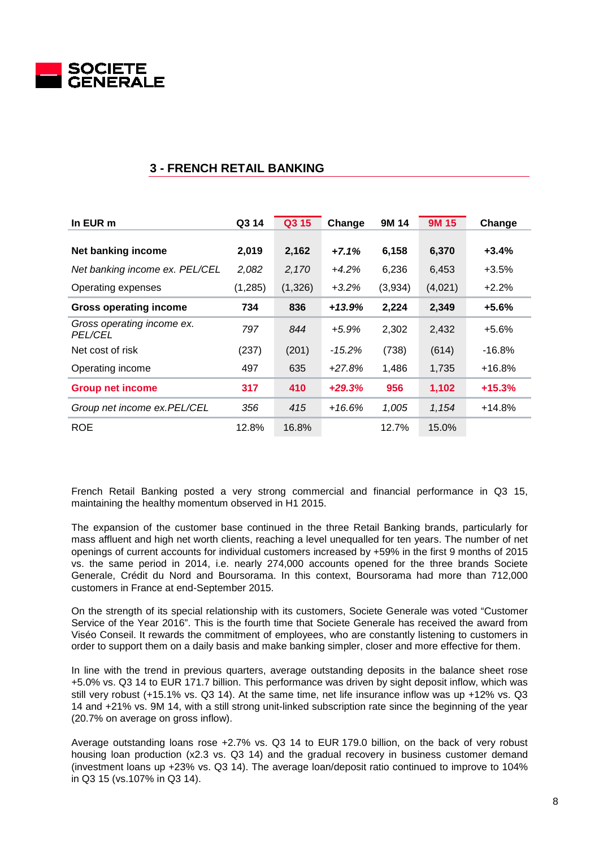

| In EUR m                                     | Q3 14   | Q3 15   | Change   | 9M 14   | <b>9M 15</b> | Change   |
|----------------------------------------------|---------|---------|----------|---------|--------------|----------|
|                                              |         |         |          |         |              |          |
| Net banking income                           | 2,019   | 2,162   | $+7.1%$  | 6,158   | 6,370        | $+3.4%$  |
| Net banking income ex. PEL/CEL               | 2,082   | 2,170   | $+4.2%$  | 6,236   | 6,453        | $+3.5%$  |
| Operating expenses                           | (1,285) | (1,326) | $+3.2%$  | (3,934) | (4,021)      | $+2.2%$  |
| <b>Gross operating income</b>                | 734     | 836     | $+13.9%$ | 2,224   | 2,349        | $+5.6%$  |
| Gross operating income ex.<br><b>PEL/CEL</b> | 797     | 844     | $+5.9%$  | 2,302   | 2,432        | $+5.6%$  |
| Net cost of risk                             | (237)   | (201)   | $-15.2%$ | (738)   | (614)        | $-16.8%$ |
| Operating income                             | 497     | 635     | $+27.8%$ | 1,486   | 1,735        | $+16.8%$ |
| <b>Group net income</b>                      | 317     | 410     | $+29.3%$ | 956     | 1,102        | $+15.3%$ |
| Group net income ex.PEL/CEL                  | 356     | 415     | $+16.6%$ | 1,005   | 1,154        | $+14.8%$ |
| <b>ROE</b>                                   | 12.8%   | 16.8%   |          | 12.7%   | 15.0%        |          |

### **3 - FRENCH RETAIL BANKING**

French Retail Banking posted a very strong commercial and financial performance in Q3 15, maintaining the healthy momentum observed in H1 2015.

The expansion of the customer base continued in the three Retail Banking brands, particularly for mass affluent and high net worth clients, reaching a level unequalled for ten years. The number of net openings of current accounts for individual customers increased by +59% in the first 9 months of 2015 vs. the same period in 2014, i.e. nearly 274,000 accounts opened for the three brands Societe Generale, Crédit du Nord and Boursorama. In this context, Boursorama had more than 712,000 customers in France at end-September 2015.

On the strength of its special relationship with its customers, Societe Generale was voted "Customer Service of the Year 2016". This is the fourth time that Societe Generale has received the award from Viséo Conseil. It rewards the commitment of employees, who are constantly listening to customers in order to support them on a daily basis and make banking simpler, closer and more effective for them.

In line with the trend in previous quarters, average outstanding deposits in the balance sheet rose +5.0% vs. Q3 14 to EUR 171.7 billion. This performance was driven by sight deposit inflow, which was still very robust (+15.1% vs. Q3 14). At the same time, net life insurance inflow was up +12% vs. Q3 14 and +21% vs. 9M 14, with a still strong unit-linked subscription rate since the beginning of the year (20.7% on average on gross inflow).

Average outstanding loans rose +2.7% vs. Q3 14 to EUR 179.0 billion, on the back of very robust housing loan production (x2.3 vs. Q3 14) and the gradual recovery in business customer demand (investment loans up +23% vs. Q3 14). The average loan/deposit ratio continued to improve to 104% in Q3 15 (vs.107% in Q3 14).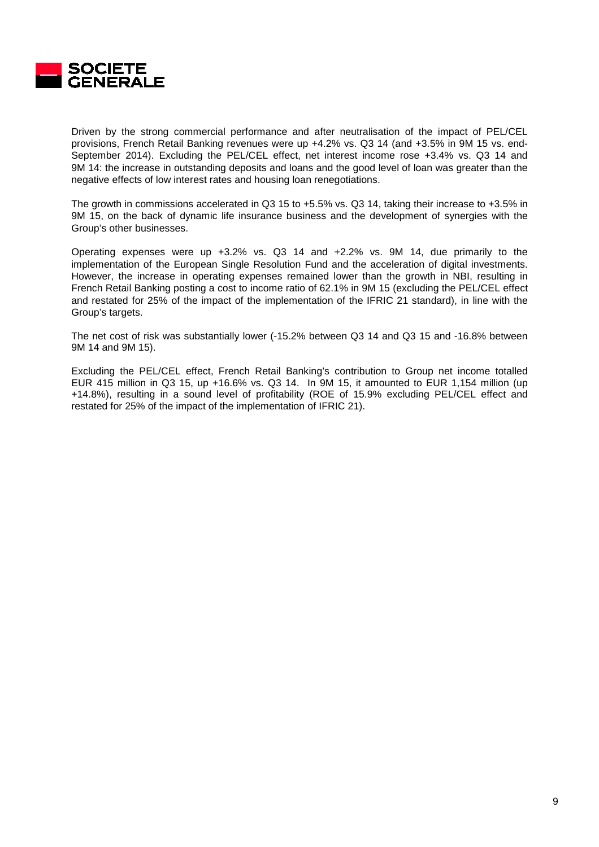

Driven by the strong commercial performance and after neutralisation of the impact of PEL/CEL provisions, French Retail Banking revenues were up +4.2% vs. Q3 14 (and +3.5% in 9M 15 vs. end-September 2014). Excluding the PEL/CEL effect, net interest income rose +3.4% vs. Q3 14 and 9M 14: the increase in outstanding deposits and loans and the good level of loan was greater than the negative effects of low interest rates and housing loan renegotiations.

The growth in commissions accelerated in Q3 15 to +5.5% vs. Q3 14, taking their increase to +3.5% in 9M 15, on the back of dynamic life insurance business and the development of synergies with the Group's other businesses.

Operating expenses were up +3.2% vs. Q3 14 and +2.2% vs. 9M 14, due primarily to the implementation of the European Single Resolution Fund and the acceleration of digital investments. However, the increase in operating expenses remained lower than the growth in NBI, resulting in French Retail Banking posting a cost to income ratio of 62.1% in 9M 15 (excluding the PEL/CEL effect and restated for 25% of the impact of the implementation of the IFRIC 21 standard), in line with the Group's targets.

The net cost of risk was substantially lower (-15.2% between Q3 14 and Q3 15 and -16.8% between 9M 14 and 9M 15).

Excluding the PEL/CEL effect, French Retail Banking's contribution to Group net income totalled EUR 415 million in Q3 15, up +16.6% vs. Q3 14. In 9M 15, it amounted to EUR 1,154 million (up +14.8%), resulting in a sound level of profitability (ROE of 15.9% excluding PEL/CEL effect and restated for 25% of the impact of the implementation of IFRIC 21).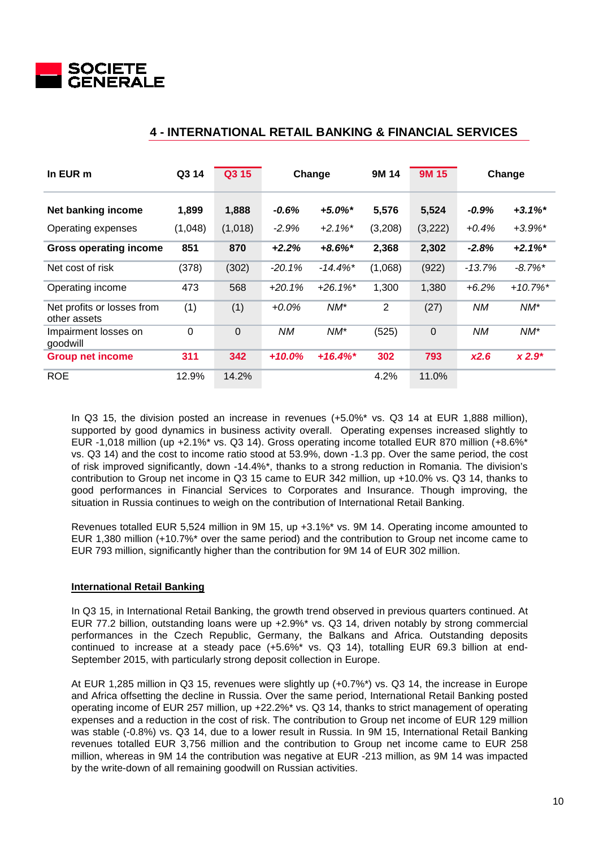

| In EUR m                                   | Q3 14   | Q3 15   | Change    |                        | 9M 14   | <b>9M 15</b> |           | Change                 |
|--------------------------------------------|---------|---------|-----------|------------------------|---------|--------------|-----------|------------------------|
| Net banking income                         | 1,899   | 1,888   | $-0.6%$   | $+5.0\%$ *             | 5,576   | 5,524        | $-0.9%$   | $+3.1\%$ <sup>*</sup>  |
| Operating expenses                         | (1,048) | (1,018) | $-2.9%$   | $+2.1\%$ <sup>*</sup>  | (3,208) | (3,222)      | $+0.4%$   | $+3.9\%$ <sup>*</sup>  |
| <b>Gross operating income</b>              | 851     | 870     | $+2.2%$   | $+8.6\%$ *             | 2,368   | 2,302        | $-2.8%$   | $+2.1\%$ *             |
| Net cost of risk                           | (378)   | (302)   | $-20.1\%$ | $-14.4\%$ <sup>*</sup> | (1,068) | (922)        | $-13.7\%$ | $-8.7\%$ <sup>*</sup>  |
| Operating income                           | 473     | 568     | $+20.1%$  | $+26.1\%$ <sup>*</sup> | 1,300   | 1,380        | $+6.2%$   | $+10.7\%$ <sup>*</sup> |
| Net profits or losses from<br>other assets | (1)     | (1)     | $+0.0\%$  | NM*                    | 2       | (27)         | <b>NM</b> | $NM^*$                 |
| Impairment losses on<br>goodwill           | 0       | 0       | ΝM        | NM*                    | (525)   | $\mathbf 0$  | <b>NM</b> | NM*                    |
| <b>Group net income</b>                    | 311     | 342     | $+10.0%$  | $+16.4\%$ <sup>*</sup> | 302     | 793          | x2.6      | $x 2.9^*$              |
| <b>ROE</b>                                 | 12.9%   | 14.2%   |           |                        | 4.2%    | 11.0%        |           |                        |

### **4 - INTERNATIONAL RETAIL BANKING & FINANCIAL SERVICES**

In Q3 15, the division posted an increase in revenues (+5.0%\* vs. Q3 14 at EUR 1,888 million), supported by good dynamics in business activity overall. Operating expenses increased slightly to EUR -1,018 million (up +2.1%\* vs. Q3 14). Gross operating income totalled EUR 870 million (+8.6%\* vs. Q3 14) and the cost to income ratio stood at 53.9%, down -1.3 pp. Over the same period, the cost of risk improved significantly, down -14.4%\*, thanks to a strong reduction in Romania. The division's contribution to Group net income in Q3 15 came to EUR 342 million, up +10.0% vs. Q3 14, thanks to good performances in Financial Services to Corporates and Insurance. Though improving, the situation in Russia continues to weigh on the contribution of International Retail Banking.

Revenues totalled EUR 5,524 million in 9M 15, up +3.1%\* vs. 9M 14. Operating income amounted to EUR 1,380 million (+10.7%\* over the same period) and the contribution to Group net income came to EUR 793 million, significantly higher than the contribution for 9M 14 of EUR 302 million.

#### **International Retail Banking**

In Q3 15, in International Retail Banking, the growth trend observed in previous quarters continued. At EUR 77.2 billion, outstanding loans were up +2.9%\* vs. Q3 14, driven notably by strong commercial performances in the Czech Republic, Germany, the Balkans and Africa. Outstanding deposits continued to increase at a steady pace (+5.6%\* vs. Q3 14), totalling EUR 69.3 billion at end-September 2015, with particularly strong deposit collection in Europe.

At EUR 1,285 million in Q3 15, revenues were slightly up (+0.7%\*) vs. Q3 14, the increase in Europe and Africa offsetting the decline in Russia. Over the same period, International Retail Banking posted operating income of EUR 257 million, up +22.2%\* vs. Q3 14, thanks to strict management of operating expenses and a reduction in the cost of risk. The contribution to Group net income of EUR 129 million was stable (-0.8%) vs. Q3 14, due to a lower result in Russia. In 9M 15, International Retail Banking revenues totalled EUR 3,756 million and the contribution to Group net income came to EUR 258 million, whereas in 9M 14 the contribution was negative at EUR -213 million, as 9M 14 was impacted by the write-down of all remaining goodwill on Russian activities.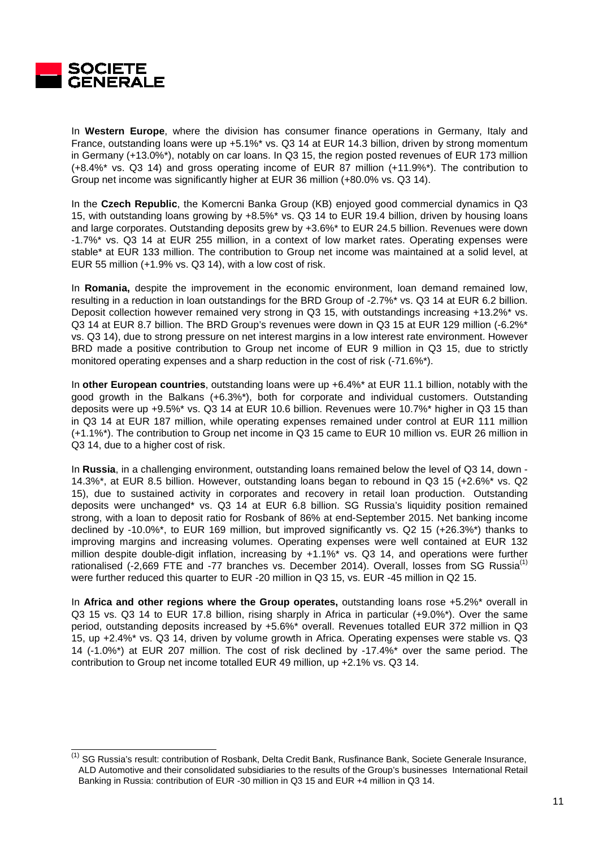

 $\overline{a}$ 

In **Western Europe**, where the division has consumer finance operations in Germany, Italy and France, outstanding loans were up +5.1%\* vs. Q3 14 at EUR 14.3 billion, driven by strong momentum in Germany (+13.0%\*), notably on car loans. In Q3 15, the region posted revenues of EUR 173 million (+8.4%\* vs. Q3 14) and gross operating income of EUR 87 million (+11.9%\*). The contribution to Group net income was significantly higher at EUR 36 million (+80.0% vs. Q3 14).

In the **Czech Republic**, the Komercni Banka Group (KB) enjoyed good commercial dynamics in Q3 15, with outstanding loans growing by +8.5%\* vs. Q3 14 to EUR 19.4 billion, driven by housing loans and large corporates. Outstanding deposits grew by +3.6%\* to EUR 24.5 billion. Revenues were down -1.7%\* vs. Q3 14 at EUR 255 million, in a context of low market rates. Operating expenses were stable\* at EUR 133 million. The contribution to Group net income was maintained at a solid level, at EUR 55 million (+1.9% vs. Q3 14), with a low cost of risk.

In **Romania,** despite the improvement in the economic environment, loan demand remained low, resulting in a reduction in loan outstandings for the BRD Group of -2.7%\* vs. Q3 14 at EUR 6.2 billion. Deposit collection however remained very strong in Q3 15, with outstandings increasing +13.2%\* vs. Q3 14 at EUR 8.7 billion. The BRD Group's revenues were down in Q3 15 at EUR 129 million (-6.2%\* vs. Q3 14), due to strong pressure on net interest margins in a low interest rate environment. However BRD made a positive contribution to Group net income of EUR 9 million in Q3 15, due to strictly monitored operating expenses and a sharp reduction in the cost of risk (-71.6%\*).

In **other European countries**, outstanding loans were up +6.4%\* at EUR 11.1 billion, notably with the good growth in the Balkans (+6.3%\*), both for corporate and individual customers. Outstanding deposits were up +9.5%\* vs. Q3 14 at EUR 10.6 billion. Revenues were 10.7%\* higher in Q3 15 than in Q3 14 at EUR 187 million, while operating expenses remained under control at EUR 111 million (+1.1%\*). The contribution to Group net income in Q3 15 came to EUR 10 million vs. EUR 26 million in Q3 14, due to a higher cost of risk.

In **Russia**, in a challenging environment, outstanding loans remained below the level of Q3 14, down - 14.3%\*, at EUR 8.5 billion. However, outstanding loans began to rebound in Q3 15 (+2.6%\* vs. Q2 15), due to sustained activity in corporates and recovery in retail loan production. Outstanding deposits were unchanged\* vs. Q3 14 at EUR 6.8 billion. SG Russia's liquidity position remained strong, with a loan to deposit ratio for Rosbank of 86% at end-September 2015. Net banking income declined by -10.0%\*, to EUR 169 million, but improved significantly vs. Q2 15 (+26.3%\*) thanks to improving margins and increasing volumes. Operating expenses were well contained at EUR 132 million despite double-digit inflation, increasing by +1.1%\* vs. Q3 14, and operations were further rationalised (-2,669 FTE and -77 branches vs. December 2014). Overall, losses from SG Russia<sup>(1)</sup> were further reduced this quarter to EUR -20 million in Q3 15, vs. EUR -45 million in Q2 15.

In **Africa and other regions where the Group operates,** outstanding loans rose +5.2%\* overall in Q3 15 vs. Q3 14 to EUR 17.8 billion, rising sharply in Africa in particular (+9.0%\*). Over the same period, outstanding deposits increased by +5.6%\* overall. Revenues totalled EUR 372 million in Q3 15, up +2.4%\* vs. Q3 14, driven by volume growth in Africa. Operating expenses were stable vs. Q3 14 (-1.0%\*) at EUR 207 million. The cost of risk declined by -17.4%\* over the same period. The contribution to Group net income totalled EUR 49 million, up +2.1% vs. Q3 14.

 $<sup>(1)</sup>$  SG Russia's result: contribution of Rosbank, Delta Credit Bank, Rusfinance Bank, Societe Generale Insurance,</sup> ALD Automotive and their consolidated subsidiaries to the results of the Group's businesses International Retail Banking in Russia: contribution of EUR -30 million in Q3 15 and EUR +4 million in Q3 14.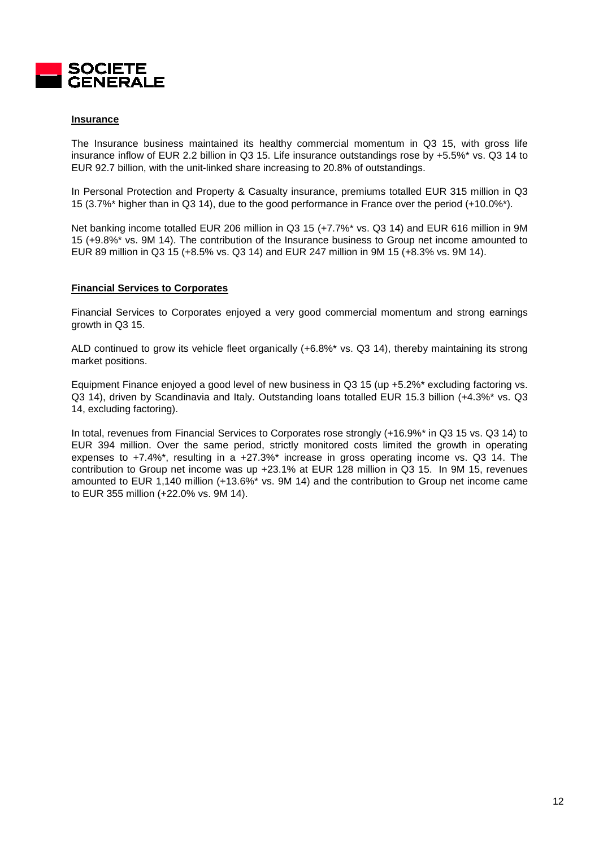

#### **Insurance**

The Insurance business maintained its healthy commercial momentum in Q3 15, with gross life insurance inflow of EUR 2.2 billion in Q3 15. Life insurance outstandings rose by +5.5%\* vs. Q3 14 to EUR 92.7 billion, with the unit-linked share increasing to 20.8% of outstandings.

In Personal Protection and Property & Casualty insurance, premiums totalled EUR 315 million in Q3 15 (3.7%\* higher than in Q3 14), due to the good performance in France over the period (+10.0%\*).

Net banking income totalled EUR 206 million in Q3 15 (+7.7%\* vs. Q3 14) and EUR 616 million in 9M 15 (+9.8%\* vs. 9M 14). The contribution of the Insurance business to Group net income amounted to EUR 89 million in Q3 15 (+8.5% vs. Q3 14) and EUR 247 million in 9M 15 (+8.3% vs. 9M 14).

#### **Financial Services to Corporates**

Financial Services to Corporates enjoyed a very good commercial momentum and strong earnings growth in Q3 15.

ALD continued to grow its vehicle fleet organically (+6.8%\* vs. Q3 14), thereby maintaining its strong market positions.

Equipment Finance enjoyed a good level of new business in Q3 15 (up +5.2%\* excluding factoring vs. Q3 14), driven by Scandinavia and Italy. Outstanding loans totalled EUR 15.3 billion (+4.3%\* vs. Q3 14, excluding factoring).

In total, revenues from Financial Services to Corporates rose strongly (+16.9%\* in Q3 15 vs. Q3 14) to EUR 394 million. Over the same period, strictly monitored costs limited the growth in operating expenses to +7.4%\*, resulting in a +27.3%\* increase in gross operating income vs. Q3 14. The contribution to Group net income was up +23.1% at EUR 128 million in Q3 15. In 9M 15, revenues amounted to EUR 1,140 million (+13.6%\* vs. 9M 14) and the contribution to Group net income came to EUR 355 million (+22.0% vs. 9M 14).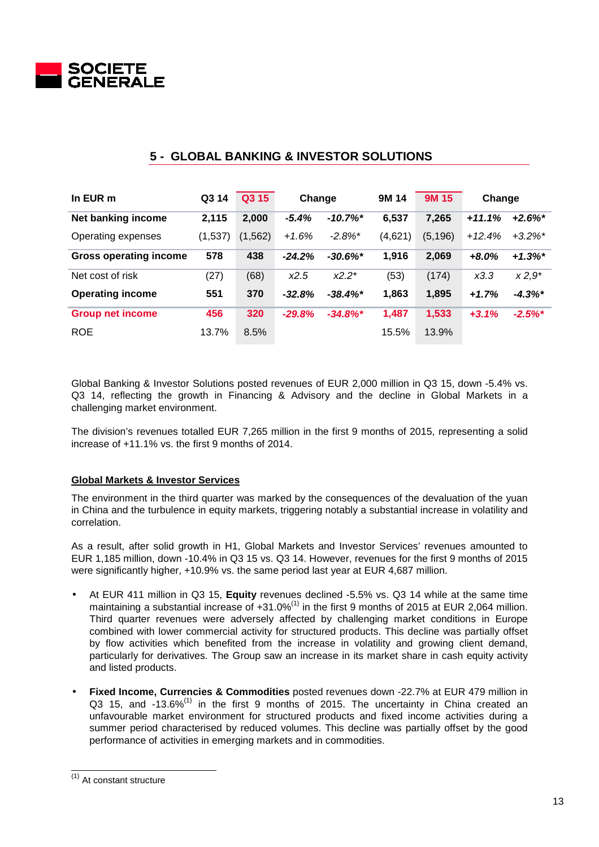

| In EUR m                      | Q3 14   | Q3 15    | Change   |                        | 9M 14   | <b>9M 15</b> | Change   |                       |
|-------------------------------|---------|----------|----------|------------------------|---------|--------------|----------|-----------------------|
| Net banking income            | 2,115   | 2,000    | $-5.4%$  | $-10.7\%$ <sup>*</sup> | 6,537   | 7,265        | $+11.1%$ | $+2.6\%$ <sup>*</sup> |
| Operating expenses            | (1,537) | (1, 562) | $+1.6%$  | $-2.8\%$ <sup>*</sup>  | (4,621) | (5, 196)     | $+12.4%$ | $+3.2\%$ <sup>*</sup> |
| <b>Gross operating income</b> | 578     | 438      | $-24.2%$ | $-30.6\%$ <sup>*</sup> | 1,916   | 2,069        | $+8.0%$  | $+1.3%$               |
| Net cost of risk              | (27)    | (68)     | x2.5     | $x2.2*$                | (53)    | (174)        | x3.3     | $x 2.9*$              |
| <b>Operating income</b>       | 551     | 370      | $-32.8%$ | $-38.4\%$ <sup>*</sup> | 1,863   | 1,895        | $+1.7%$  | $-4.3\%$ <sup>*</sup> |
| <b>Group net income</b>       | 456     | 320      | $-29.8%$ | $-34.8\%$ <sup>*</sup> | 1,487   | 1,533        | $+3.1%$  | $-2.5%$               |
| <b>ROE</b>                    | 13.7%   | 8.5%     |          |                        | 15.5%   | 13.9%        |          |                       |

## **5 - GLOBAL BANKING & INVESTOR SOLUTIONS**

Global Banking & Investor Solutions posted revenues of EUR 2,000 million in Q3 15, down -5.4% vs. Q3 14, reflecting the growth in Financing & Advisory and the decline in Global Markets in a challenging market environment.

The division's revenues totalled EUR 7,265 million in the first 9 months of 2015, representing a solid increase of +11.1% vs. the first 9 months of 2014.

#### **Global Markets & Investor Services**

The environment in the third quarter was marked by the consequences of the devaluation of the yuan in China and the turbulence in equity markets, triggering notably a substantial increase in volatility and correlation.

As a result, after solid growth in H1, Global Markets and Investor Services' revenues amounted to EUR 1,185 million, down -10.4% in Q3 15 vs. Q3 14. However, revenues for the first 9 months of 2015 were significantly higher, +10.9% vs. the same period last year at EUR 4,687 million.

- At EUR 411 million in Q3 15, **Equity** revenues declined -5.5% vs. Q3 14 while at the same time maintaining a substantial increase of +31.0%<sup>(1)</sup> in the first 9 months of 2015 at EUR 2,064 million. Third quarter revenues were adversely affected by challenging market conditions in Europe combined with lower commercial activity for structured products. This decline was partially offset by flow activities which benefited from the increase in volatility and growing client demand, particularly for derivatives. The Group saw an increase in its market share in cash equity activity and listed products.
- **Fixed Income, Currencies & Commodities** posted revenues down -22.7% at EUR 479 million in Q3 15, and  $-13.6\%$ <sup>(1)</sup> in the first 9 months of 2015. The uncertainty in China created an unfavourable market environment for structured products and fixed income activities during a summer period characterised by reduced volumes. This decline was partially offset by the good performance of activities in emerging markets and in commodities.

l <sup>(1)</sup> At constant structure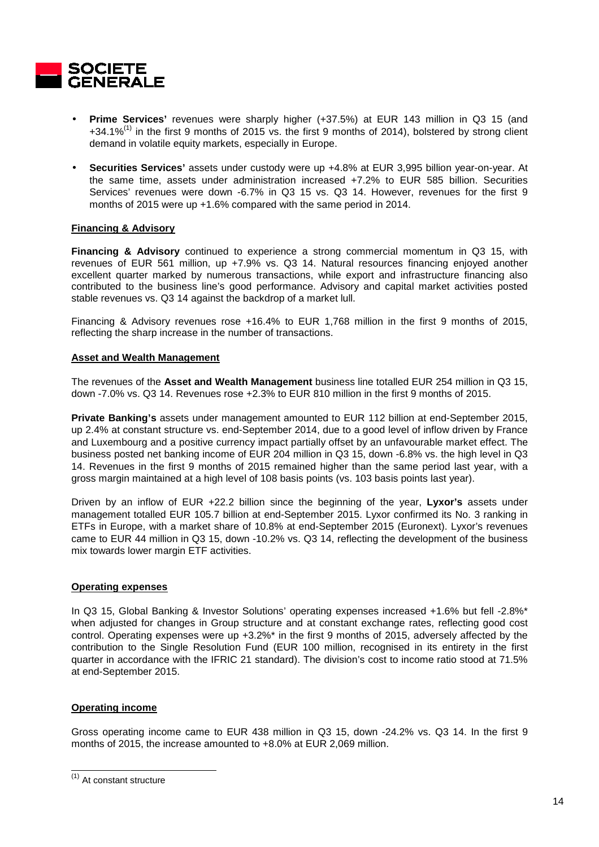

- **Prime Services'** revenues were sharply higher (+37.5%) at EUR 143 million in Q3 15 (and  $+34.1\%$ <sup>(1)</sup> in the first 9 months of 2015 vs. the first 9 months of 2014), bolstered by strong client demand in volatile equity markets, especially in Europe.
- **Securities Services'** assets under custody were up +4.8% at EUR 3,995 billion year-on-year. At the same time, assets under administration increased +7.2% to EUR 585 billion. Securities Services' revenues were down -6.7% in Q3 15 vs. Q3 14. However, revenues for the first 9 months of 2015 were up +1.6% compared with the same period in 2014.

#### **Financing & Advisory**

**Financing & Advisory** continued to experience a strong commercial momentum in Q3 15, with revenues of EUR 561 million, up +7.9% vs. Q3 14. Natural resources financing enjoyed another excellent quarter marked by numerous transactions, while export and infrastructure financing also contributed to the business line's good performance. Advisory and capital market activities posted stable revenues vs. Q3 14 against the backdrop of a market lull.

Financing & Advisory revenues rose +16.4% to EUR 1,768 million in the first 9 months of 2015, reflecting the sharp increase in the number of transactions.

#### **Asset and Wealth Management**

The revenues of the **Asset and Wealth Management** business line totalled EUR 254 million in Q3 15, down -7.0% vs. Q3 14. Revenues rose +2.3% to EUR 810 million in the first 9 months of 2015.

**Private Banking's** assets under management amounted to EUR 112 billion at end-September 2015, up 2.4% at constant structure vs. end-September 2014, due to a good level of inflow driven by France and Luxembourg and a positive currency impact partially offset by an unfavourable market effect. The business posted net banking income of EUR 204 million in Q3 15, down -6.8% vs. the high level in Q3 14. Revenues in the first 9 months of 2015 remained higher than the same period last year, with a gross margin maintained at a high level of 108 basis points (vs. 103 basis points last year).

Driven by an inflow of EUR +22.2 billion since the beginning of the year, **Lyxor's** assets under management totalled EUR 105.7 billion at end-September 2015. Lyxor confirmed its No. 3 ranking in ETFs in Europe, with a market share of 10.8% at end-September 2015 (Euronext). Lyxor's revenues came to EUR 44 million in Q3 15, down -10.2% vs. Q3 14, reflecting the development of the business mix towards lower margin ETF activities.

#### **Operating expenses**

In Q3 15, Global Banking & Investor Solutions' operating expenses increased +1.6% but fell -2.8%\* when adjusted for changes in Group structure and at constant exchange rates, reflecting good cost control. Operating expenses were up +3.2%\* in the first 9 months of 2015, adversely affected by the contribution to the Single Resolution Fund (EUR 100 million, recognised in its entirety in the first quarter in accordance with the IFRIC 21 standard). The division's cost to income ratio stood at 71.5% at end-September 2015.

#### **Operating income**

Gross operating income came to EUR 438 million in Q3 15, down -24.2% vs. Q3 14. In the first 9 months of 2015, the increase amounted to +8.0% at EUR 2,069 million.

l

<sup>&</sup>lt;sup>(1)</sup> At constant structure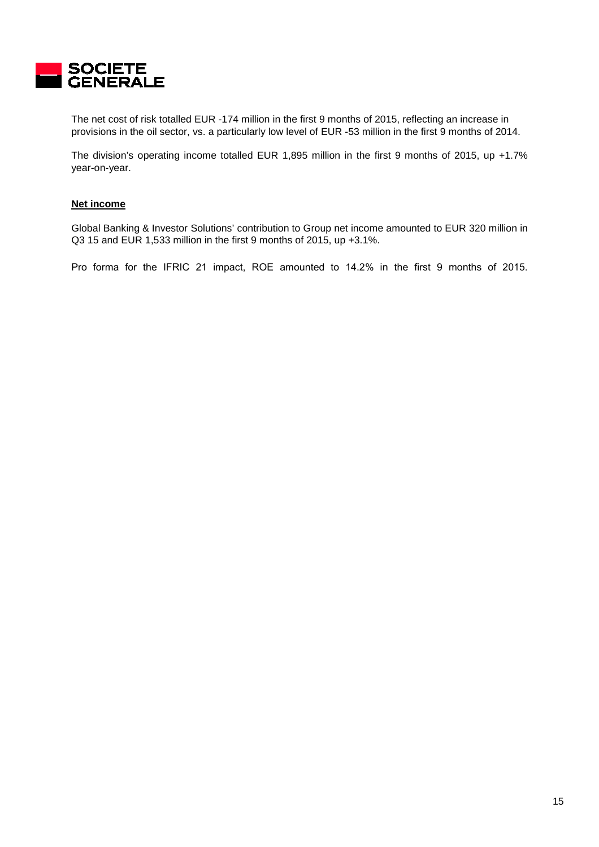

The net cost of risk totalled EUR -174 million in the first 9 months of 2015, reflecting an increase in provisions in the oil sector, vs. a particularly low level of EUR -53 million in the first 9 months of 2014.

The division's operating income totalled EUR 1,895 million in the first 9 months of 2015, up +1.7% year-on-year.

#### **Net income**

Global Banking & Investor Solutions' contribution to Group net income amounted to EUR 320 million in Q3 15 and EUR 1,533 million in the first 9 months of 2015, up +3.1%.

Pro forma for the IFRIC 21 impact, ROE amounted to 14.2% in the first 9 months of 2015.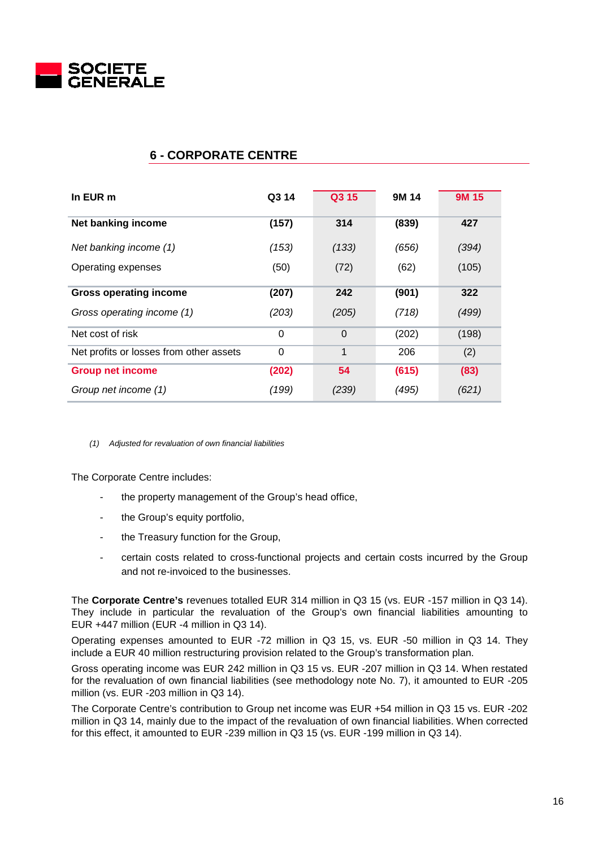

## **6 - CORPORATE CENTRE**

| In EUR m                                | Q3 14 | Q3 15       | 9M 14 | <b>9M15</b> |
|-----------------------------------------|-------|-------------|-------|-------------|
| Net banking income                      | (157) | 314         | (839) | 427         |
| Net banking income (1)                  | (153) | (133)       | (656) | (394)       |
| Operating expenses                      | (50)  | (72)        | (62)  | (105)       |
| <b>Gross operating income</b>           | (207) | 242         | (901) | 322         |
| Gross operating income (1)              | (203) | (205)       | (718) | (499)       |
| Net cost of risk                        | 0     | $\mathbf 0$ | (202) | (198)       |
| Net profits or losses from other assets | 0     | 1           | 206   | (2)         |
| <b>Group net income</b>                 | (202) | 54          | (615) | (83)        |
| Group net income (1)                    | (199) | (239)       | (495) | (621)       |

(1) Adjusted for revaluation of own financial liabilities

The Corporate Centre includes:

- the property management of the Group's head office,
- the Group's equity portfolio.
- the Treasury function for the Group,
- certain costs related to cross-functional projects and certain costs incurred by the Group and not re-invoiced to the businesses.

The **Corporate Centre's** revenues totalled EUR 314 million in Q3 15 (vs. EUR -157 million in Q3 14). They include in particular the revaluation of the Group's own financial liabilities amounting to EUR +447 million (EUR -4 million in Q3 14).

Operating expenses amounted to EUR -72 million in Q3 15, vs. EUR -50 million in Q3 14. They include a EUR 40 million restructuring provision related to the Group's transformation plan.

Gross operating income was EUR 242 million in Q3 15 vs. EUR -207 million in Q3 14. When restated for the revaluation of own financial liabilities (see methodology note No. 7), it amounted to EUR -205 million (vs. EUR -203 million in Q3 14).

The Corporate Centre's contribution to Group net income was EUR +54 million in Q3 15 vs. EUR -202 million in Q3 14, mainly due to the impact of the revaluation of own financial liabilities. When corrected for this effect, it amounted to EUR -239 million in Q3 15 (vs. EUR -199 million in Q3 14).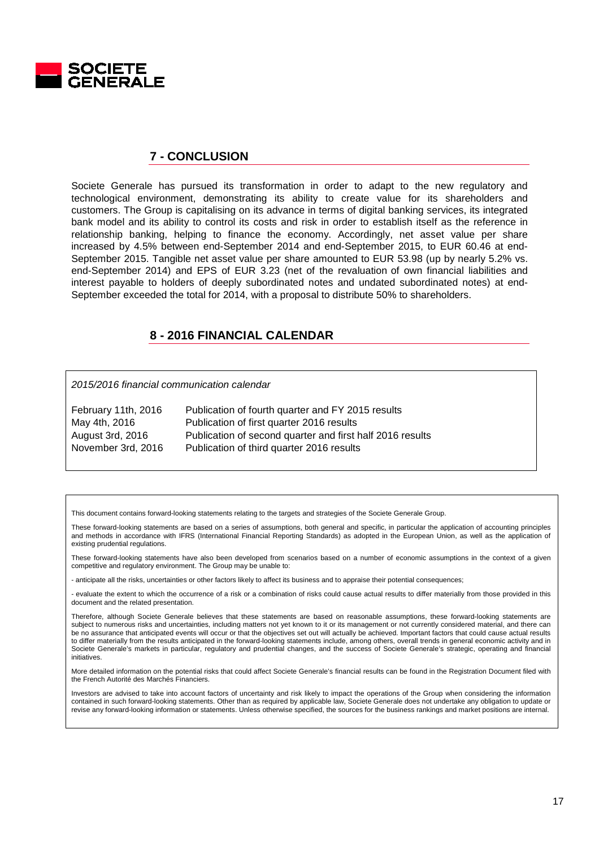

### **7 - CONCLUSION**

Societe Generale has pursued its transformation in order to adapt to the new regulatory and technological environment, demonstrating its ability to create value for its shareholders and customers. The Group is capitalising on its advance in terms of digital banking services, its integrated bank model and its ability to control its costs and risk in order to establish itself as the reference in relationship banking, helping to finance the economy. Accordingly, net asset value per share increased by 4.5% between end-September 2014 and end-September 2015, to EUR 60.46 at end-September 2015. Tangible net asset value per share amounted to EUR 53.98 (up by nearly 5.2% vs. end-September 2014) and EPS of EUR 3.23 (net of the revaluation of own financial liabilities and interest payable to holders of deeply subordinated notes and undated subordinated notes) at end-September exceeded the total for 2014, with a proposal to distribute 50% to shareholders.

### **8 - 2016 FINANCIAL CALENDAR**

2015/2016 financial communication calendar

| February 11th, 2016 | Publication of fourth quarter and FY 2015 results         |
|---------------------|-----------------------------------------------------------|
| May 4th, 2016       | Publication of first quarter 2016 results                 |
| August 3rd, 2016    | Publication of second quarter and first half 2016 results |
| November 3rd, 2016  | Publication of third quarter 2016 results                 |

This document contains forward-looking statements relating to the targets and strategies of the Societe Generale Group.

These forward-looking statements are based on a series of assumptions, both general and specific, in particular the application of accounting principles and methods in accordance with IFRS (International Financial Reporting Standards) as adopted in the European Union, as well as the application of existing prudential regulations.

These forward-looking statements have also been developed from scenarios based on a number of economic assumptions in the context of a given competitive and regulatory environment. The Group may be unable to:

- anticipate all the risks, uncertainties or other factors likely to affect its business and to appraise their potential consequences;

- evaluate the extent to which the occurrence of a risk or a combination of risks could cause actual results to differ materially from those provided in this document and the related presentation.

Therefore, although Societe Generale believes that these statements are based on reasonable assumptions, these forward-looking statements are subject to numerous risks and uncertainties, including matters not yet known to it or its management or not currently considered material, and there can be no assurance that anticipated events will occur or that the objectives set out will actually be achieved. Important factors that could cause actual results to differ materially from the results anticipated in the forward-looking statements include, among others, overall trends in general economic activity and in Societe Generale's markets in particular, regulatory and prudential changes, and the success of Societe Generale's strategic, operating and financial initiatives.

More detailed information on the potential risks that could affect Societe Generale's financial results can be found in the Registration Document filed with the French Autorité des Marchés Financiers.

Investors are advised to take into account factors of uncertainty and risk likely to impact the operations of the Group when considering the information contained in such forward-looking statements. Other than as required by applicable law, Societe Generale does not undertake any obligation to update or revise any forward-looking information or statements. Unless otherwise specified, the sources for the business rankings and market positions are internal.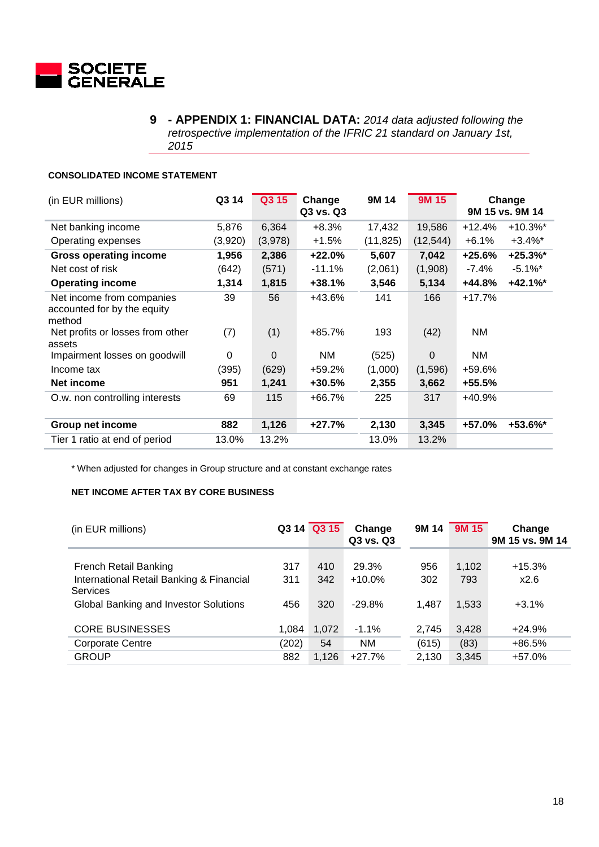

**9 - APPENDIX 1: FINANCIAL DATA:** 2014 data adjusted following the retrospective implementation of the IFRIC 21 standard on January 1st, 2015

#### **CONSOLIDATED INCOME STATEMENT**

| (in EUR millions)                                                  | Q3 14   | Q3 15       | Change<br>Q3 vs. Q3 | 9M 14     | <b>9M 15</b> |           | Change<br>9M 15 vs. 9M 14 |
|--------------------------------------------------------------------|---------|-------------|---------------------|-----------|--------------|-----------|---------------------------|
| Net banking income                                                 | 5,876   | 6,364       | $+8.3%$             | 17,432    | 19,586       | $+12.4%$  | $+10.3\%$ <sup>*</sup>    |
| Operating expenses                                                 | (3,920) | (3,978)     | $+1.5%$             | (11, 825) | (12, 544)    | $+6.1%$   | $+3.4\%$ *                |
| <b>Gross operating income</b>                                      | 1,956   | 2,386       | $+22.0%$            | 5,607     | 7,042        | $+25.6%$  | $+25.3%$                  |
| Net cost of risk                                                   | (642)   | (571)       | $-11.1%$            | (2,061)   | (1,908)      | $-7.4\%$  | $-5.1\%$ *                |
| <b>Operating income</b>                                            | 1,314   | 1,815       | $+38.1%$            | 3,546     | 5,134        | $+44.8%$  | $+42.1%$                  |
| Net income from companies<br>accounted for by the equity<br>method | 39      | 56          | +43.6%              | 141       | 166          | $+17.7%$  |                           |
| Net profits or losses from other<br>assets                         | (7)     | (1)         | $+85.7%$            | 193       | (42)         | <b>NM</b> |                           |
| Impairment losses on goodwill                                      | 0       | $\mathbf 0$ | NM                  | (525)     | $\mathbf 0$  | <b>NM</b> |                           |
| Income tax                                                         | (395)   | (629)       | $+59.2%$            | (1,000)   | (1,596)      | +59.6%    |                           |
| Net income                                                         | 951     | 1,241       | $+30.5%$            | 2,355     | 3,662        | $+55.5%$  |                           |
| O.w. non controlling interests                                     | 69      | 115         | $+66.7%$            | 225       | 317          | +40.9%    |                           |
| <b>Group net income</b>                                            | 882     | 1,126       | $+27.7%$            | 2,130     | 3,345        | +57.0%    | $+53.6\%$ *               |
| Tier 1 ratio at end of period                                      | 13.0%   | 13.2%       |                     | 13.0%     | 13.2%        |           |                           |

\* When adjusted for changes in Group structure and at constant exchange rates

### **NET INCOME AFTER TAX BY CORE BUSINESS**

| (in EUR millions)                                           |       | Q3 14 Q3 15 | Change<br>Q3 vs. Q3 | 9M 14 | <b>9M 15</b> | Change<br>9M 15 vs. 9M 14 |
|-------------------------------------------------------------|-------|-------------|---------------------|-------|--------------|---------------------------|
| <b>French Retail Banking</b>                                | 317   | 410         | 29.3%               | 956   | 1,102        | $+15.3%$                  |
| International Retail Banking & Financial<br><b>Services</b> | 311   | 342         | $+10.0%$            | 302   | 793          | x2.6                      |
| Global Banking and Investor Solutions                       | 456   | 320         | $-29.8%$            | 1.487 | 1,533        | $+3.1%$                   |
| <b>CORE BUSINESSES</b>                                      | 1,084 | 1,072       | $-1.1%$             | 2,745 | 3,428        | $+24.9%$                  |
| <b>Corporate Centre</b>                                     | (202) | 54          | <b>NM</b>           | (615) | (83)         | $+86.5%$                  |
| <b>GROUP</b>                                                | 882   | 1,126       | $+27.7%$            | 2,130 | 3,345        | +57.0%                    |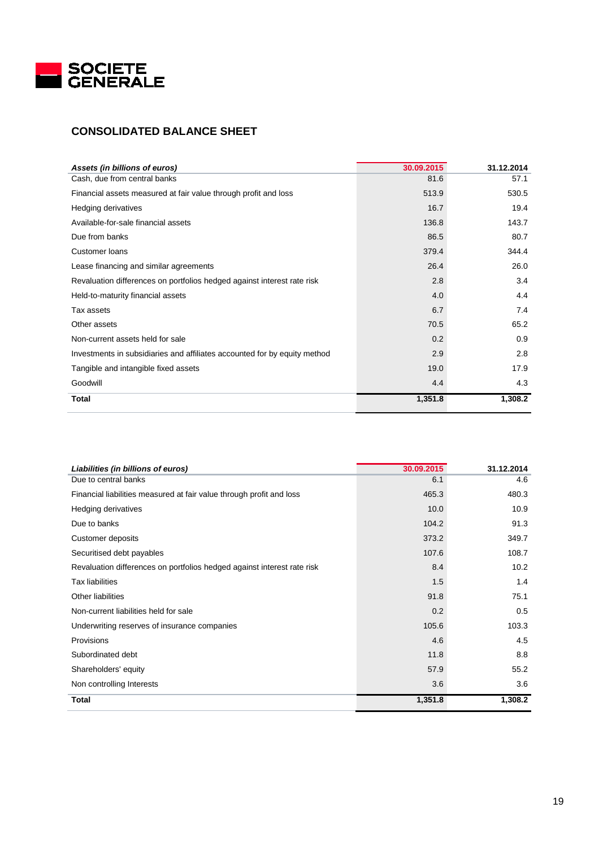

### **CONSOLIDATED BALANCE SHEET**

| Assets (in billions of euros)                                             | 30.09.2015 | 31.12.2014 |
|---------------------------------------------------------------------------|------------|------------|
| Cash, due from central banks                                              | 81.6       | 57.1       |
| Financial assets measured at fair value through profit and loss           | 513.9      | 530.5      |
| Hedging derivatives                                                       | 16.7       | 19.4       |
| Available-for-sale financial assets                                       | 136.8      | 143.7      |
| Due from banks                                                            | 86.5       | 80.7       |
| Customer loans                                                            | 379.4      | 344.4      |
| Lease financing and similar agreements                                    | 26.4       | 26.0       |
| Revaluation differences on portfolios hedged against interest rate risk   | 2.8        | 3.4        |
| Held-to-maturity financial assets                                         | 4.0        | 4.4        |
| Tax assets                                                                | 6.7        | 7.4        |
| Other assets                                                              | 70.5       | 65.2       |
| Non-current assets held for sale                                          | 0.2        | 0.9        |
| Investments in subsidiaries and affiliates accounted for by equity method | 2.9        | 2.8        |
| Tangible and intangible fixed assets                                      | 19.0       | 17.9       |
| Goodwill                                                                  | 4.4        | 4.3        |
| <b>Total</b>                                                              | 1,351.8    | 1,308.2    |

| Liabilities (in billions of euros)                                      | 30.09.2015 | 31.12.2014 |
|-------------------------------------------------------------------------|------------|------------|
| Due to central banks                                                    | 6.1        | 4.6        |
| Financial liabilities measured at fair value through profit and loss    | 465.3      | 480.3      |
| Hedging derivatives                                                     | 10.0       | 10.9       |
| Due to banks                                                            | 104.2      | 91.3       |
| Customer deposits                                                       | 373.2      | 349.7      |
| Securitised debt payables                                               | 107.6      | 108.7      |
| Revaluation differences on portfolios hedged against interest rate risk | 8.4        | 10.2       |
| <b>Tax liabilities</b>                                                  | 1.5        | 1.4        |
| Other liabilities                                                       | 91.8       | 75.1       |
| Non-current liabilities held for sale                                   | 0.2        | 0.5        |
| Underwriting reserves of insurance companies                            | 105.6      | 103.3      |
| Provisions                                                              | 4.6        | 4.5        |
| Subordinated debt                                                       | 11.8       | 8.8        |
| Shareholders' equity                                                    | 57.9       | 55.2       |
| Non controlling Interests                                               | 3.6        | 3.6        |
| <b>Total</b>                                                            | 1,351.8    | 1,308.2    |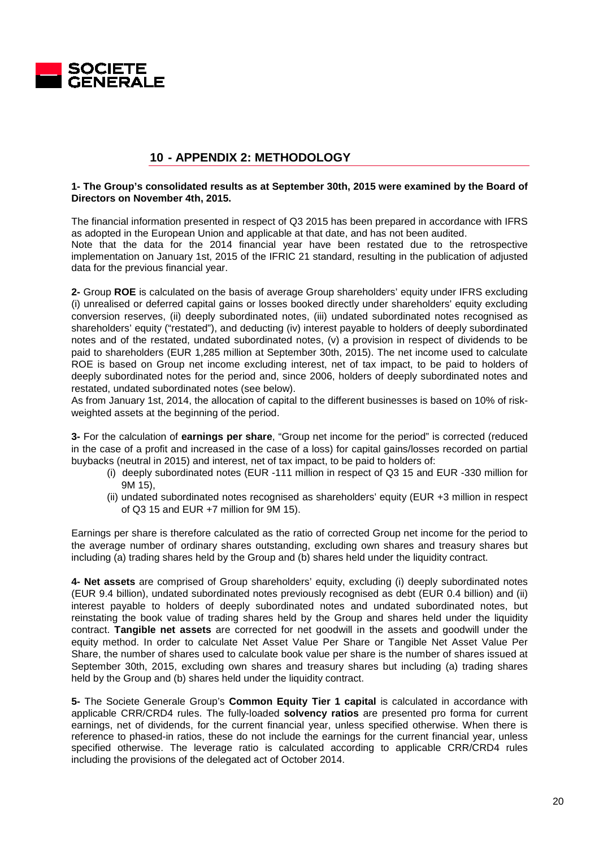

data for the previous financial year.

### **10 - APPENDIX 2: METHODOLOGY**

#### **1- The Group's consolidated results as at September 30th, 2015 were examined by the Board of Directors on November 4th, 2015.**

The financial information presented in respect of Q3 2015 has been prepared in accordance with IFRS as adopted in the European Union and applicable at that date, and has not been audited. Note that the data for the 2014 financial year have been restated due to the retrospective implementation on January 1st, 2015 of the IFRIC 21 standard, resulting in the publication of adjusted

**2-** Group **ROE** is calculated on the basis of average Group shareholders' equity under IFRS excluding (i) unrealised or deferred capital gains or losses booked directly under shareholders' equity excluding conversion reserves, (ii) deeply subordinated notes, (iii) undated subordinated notes recognised as shareholders' equity ("restated"), and deducting (iv) interest payable to holders of deeply subordinated notes and of the restated, undated subordinated notes, (v) a provision in respect of dividends to be paid to shareholders (EUR 1,285 million at September 30th, 2015). The net income used to calculate ROE is based on Group net income excluding interest, net of tax impact, to be paid to holders of deeply subordinated notes for the period and, since 2006, holders of deeply subordinated notes and restated, undated subordinated notes (see below).

As from January 1st, 2014, the allocation of capital to the different businesses is based on 10% of riskweighted assets at the beginning of the period.

**3-** For the calculation of **earnings per share**, "Group net income for the period" is corrected (reduced in the case of a profit and increased in the case of a loss) for capital gains/losses recorded on partial buybacks (neutral in 2015) and interest, net of tax impact, to be paid to holders of:

- (i) deeply subordinated notes (EUR -111 million in respect of Q3 15 and EUR -330 million for 9M 15),
- (ii) undated subordinated notes recognised as shareholders' equity (EUR +3 million in respect of Q3 15 and EUR +7 million for 9M 15).

Earnings per share is therefore calculated as the ratio of corrected Group net income for the period to the average number of ordinary shares outstanding, excluding own shares and treasury shares but including (a) trading shares held by the Group and (b) shares held under the liquidity contract.

**4- Net assets** are comprised of Group shareholders' equity, excluding (i) deeply subordinated notes (EUR 9.4 billion), undated subordinated notes previously recognised as debt (EUR 0.4 billion) and (ii) interest payable to holders of deeply subordinated notes and undated subordinated notes, but reinstating the book value of trading shares held by the Group and shares held under the liquidity contract. **Tangible net assets** are corrected for net goodwill in the assets and goodwill under the equity method. In order to calculate Net Asset Value Per Share or Tangible Net Asset Value Per Share, the number of shares used to calculate book value per share is the number of shares issued at September 30th, 2015, excluding own shares and treasury shares but including (a) trading shares held by the Group and (b) shares held under the liquidity contract.

**5-** The Societe Generale Group's **Common Equity Tier 1 capital** is calculated in accordance with applicable CRR/CRD4 rules. The fully-loaded **solvency ratios** are presented pro forma for current earnings, net of dividends, for the current financial year, unless specified otherwise. When there is reference to phased-in ratios, these do not include the earnings for the current financial year, unless specified otherwise. The leverage ratio is calculated according to applicable CRR/CRD4 rules including the provisions of the delegated act of October 2014.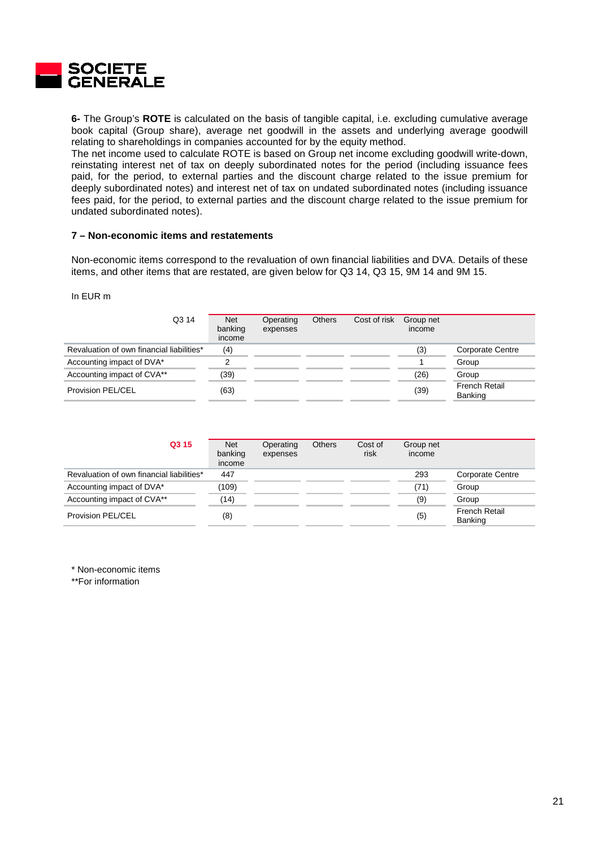

**6-** The Group's **ROTE** is calculated on the basis of tangible capital, i.e. excluding cumulative average book capital (Group share), average net goodwill in the assets and underlying average goodwill relating to shareholdings in companies accounted for by the equity method.

The net income used to calculate ROTE is based on Group net income excluding goodwill write-down, reinstating interest net of tax on deeply subordinated notes for the period (including issuance fees paid, for the period, to external parties and the discount charge related to the issue premium for deeply subordinated notes) and interest net of tax on undated subordinated notes (including issuance fees paid, for the period, to external parties and the discount charge related to the issue premium for undated subordinated notes).

#### **7 – Non-economic items and restatements**

Non-economic items correspond to the revaluation of own financial liabilities and DVA. Details of these items, and other items that are restated, are given below for Q3 14, Q3 15, 9M 14 and 9M 15.

#### In EUR m

| Q3 14                                     | <b>Net</b><br>banking<br>income | Operating<br>expenses | <b>Others</b> | Cost of risk | Group net<br>income |                                 |
|-------------------------------------------|---------------------------------|-----------------------|---------------|--------------|---------------------|---------------------------------|
| Revaluation of own financial liabilities* | (4)                             |                       |               |              | (3)                 | Corporate Centre                |
| Accounting impact of DVA*                 | າ                               |                       |               |              |                     | Group                           |
| Accounting impact of CVA**                | (39)                            |                       |               |              | (26)                | Group                           |
| Provision PEL/CEL                         | (63)                            |                       |               |              | (39)                | <b>French Retail</b><br>Banking |

| Q3 15                                     | <b>Net</b><br>banking<br>income | Operating<br>expenses | <b>Others</b> | Cost of<br>risk | Group net<br>income |                          |
|-------------------------------------------|---------------------------------|-----------------------|---------------|-----------------|---------------------|--------------------------|
| Revaluation of own financial liabilities* | 447                             |                       |               |                 | 293                 | Corporate Centre         |
| Accounting impact of DVA*                 | (109)                           |                       |               |                 | (71)                | Group                    |
| Accounting impact of CVA**                | (14)                            |                       |               |                 | (9)                 | Group                    |
| <b>Provision PEL/CEL</b>                  | (8)                             |                       |               |                 | (5)                 | French Retail<br>Banking |

\* Non-economic items

\*\*For information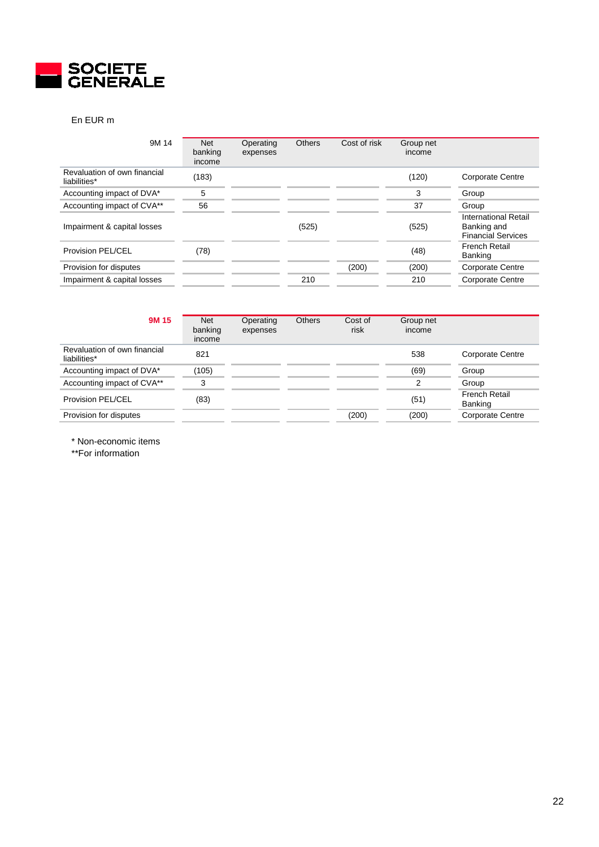

#### En EUR m

| 9M 14                                        | <b>Net</b><br>banking<br>income | Operating<br>expenses | <b>Others</b> | Cost of risk | Group net<br>income |                                                                  |
|----------------------------------------------|---------------------------------|-----------------------|---------------|--------------|---------------------|------------------------------------------------------------------|
| Revaluation of own financial<br>liabilities* | (183)                           |                       |               |              | (120)               | <b>Corporate Centre</b>                                          |
| Accounting impact of DVA*                    | 5                               |                       |               |              | 3                   | Group                                                            |
| Accounting impact of CVA**                   | 56                              |                       |               |              | 37                  | Group                                                            |
| Impairment & capital losses                  |                                 |                       | (525)         |              | (525)               | International Retail<br>Banking and<br><b>Financial Services</b> |
| <b>Provision PEL/CEL</b>                     | (78)                            |                       |               |              | (48)                | <b>French Retail</b><br>Banking                                  |
| Provision for disputes                       |                                 |                       |               | (200)        | (200)               | <b>Corporate Centre</b>                                          |
| Impairment & capital losses                  |                                 |                       | 210           |              | 210                 | <b>Corporate Centre</b>                                          |

| <b>9M15</b>                                  | <b>Net</b><br>banking<br>income | Operating<br>expenses | <b>Others</b> | Cost of<br>risk | Group net<br>income |                          |
|----------------------------------------------|---------------------------------|-----------------------|---------------|-----------------|---------------------|--------------------------|
| Revaluation of own financial<br>liabilities* | 821                             |                       |               |                 | 538                 | Corporate Centre         |
| Accounting impact of DVA*                    | (105)                           |                       |               |                 | (69)                | Group                    |
| Accounting impact of CVA**                   | 3                               |                       |               |                 | 2                   | Group                    |
| <b>Provision PEL/CEL</b>                     | (83)                            |                       |               |                 | (51)                | French Retail<br>Banking |
| Provision for disputes                       |                                 |                       |               | (200)           | (200)               | <b>Corporate Centre</b>  |

\* Non-economic items

\*\*For information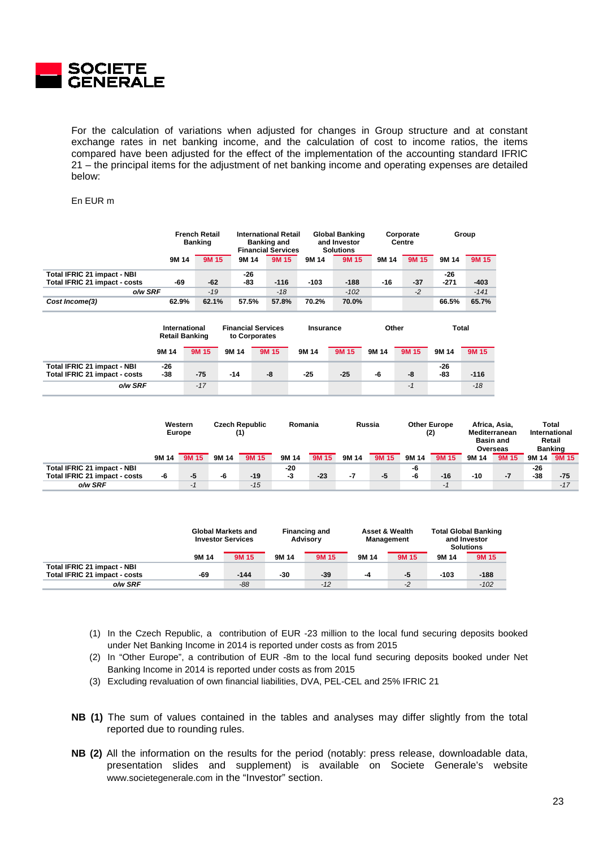

For the calculation of variations when adjusted for changes in Group structure and at constant exchange rates in net banking income, and the calculation of cost to income ratios, the items compared have been adjusted for the effect of the implementation of the accounting standard IFRIC 21 – the principal items for the adjustment of net banking income and operating expenses are detailed below:

#### En EUR m

|                                                              |            | <b>French Retail</b><br><b>Banking</b> |                                            | <b>International Retail</b><br><b>Banking and</b><br><b>Financial Services</b> |        | <b>Global Banking</b><br>and Investor<br><b>Solutions</b> |              |       | Corporate<br>Centre |               | Group       |
|--------------------------------------------------------------|------------|----------------------------------------|--------------------------------------------|--------------------------------------------------------------------------------|--------|-----------------------------------------------------------|--------------|-------|---------------------|---------------|-------------|
|                                                              | 9M 14      | 9M 15                                  | 9M 14                                      | 9M 15                                                                          | 9M 14  |                                                           | <b>9M 15</b> | 9M 14 | 9M 15               | 9M 14         | <b>9M15</b> |
| Total IFRIC 21 impact - NBI<br>Total IFRIC 21 impact - costs | -69        | $-62$                                  | -26<br>-83                                 | $-116$                                                                         | $-103$ |                                                           | $-188$       | -16   | $-37$               | -26<br>$-271$ | $-403$      |
| o/w SRF                                                      |            | $-19$                                  |                                            | $-18$                                                                          |        |                                                           | $-102$       |       | $-2$                |               | $-141$      |
| Cost Income(3)                                               | 62.9%      | 62.1%                                  | 57.5%                                      | 57.8%                                                                          | 70.2%  |                                                           | 70.0%        |       |                     | 66.5%         | 65.7%       |
|                                                              |            | International<br><b>Retail Banking</b> | <b>Financial Services</b><br>to Corporates |                                                                                |        | <b>Insurance</b>                                          |              |       | Other               | Total         |             |
|                                                              | 9M 14      | 9M 15                                  | 9M 14                                      | <b>9M15</b>                                                                    | 9M 14  |                                                           | 9M 15        | 9M 14 | <b>9M15</b>         | 9M 14         | 9M 15       |
| Total IFRIC 21 impact - NBI<br>Total IFRIC 21 impact - costs | -26<br>-38 | $-75$                                  | $-14$                                      | -8                                                                             | $-25$  | $-25$                                                     |              | -6    | -8                  | $-26$<br>-83  | $-116$      |
| o/w SRF                                                      |            | $-17$                                  |                                            |                                                                                |        |                                                           |              |       | $-1$                |               | $-18$       |

|                               |       | Western<br>Europe | <b>Czech Republic</b><br>Romania<br>(1) |             |       | Russia<br><b>Other Europe</b><br>(2) |       |       |       | Africa, Asia,<br>Mediterranean<br><b>Basin and</b> |       | Total<br>International<br>Retail |       |                |
|-------------------------------|-------|-------------------|-----------------------------------------|-------------|-------|--------------------------------------|-------|-------|-------|----------------------------------------------------|-------|----------------------------------|-------|----------------|
|                               |       |                   |                                         |             |       |                                      |       |       |       |                                                    |       | Overseas                         |       | <b>Banking</b> |
|                               | 9M 14 | 9M 15             | 9M 14                                   | <b>9M15</b> | 9M 14 | 9M 15                                | 9M 14 | 9M 15 | 9M 14 | <b>9M15</b>                                        | 9M 14 | <b>9M15</b>                      | 9M 14 | 9M 15          |
| Total IFRIC 21 impact - NBI   |       |                   |                                         |             | $-20$ |                                      |       |       | -6    |                                                    |       |                                  | $-26$ |                |
| Total IFRIC 21 impact - costs | -6    | -5                | -6                                      | $-19$       | -3    | $-23$                                |       | -5    | -6    | $-16$                                              | $-10$ | - 4                              | $-38$ | -75            |
| o/w SRF                       |       | -1                |                                         | $-15$       |       |                                      |       |       |       | -1                                                 |       |                                  |       | $-17$          |

|                               |       | Global Markets and<br><b>Investor Services</b> |       | <b>Financing and</b><br><b>Advisory</b> |       | <b>Asset &amp; Wealth</b><br>Management | <b>Total Global Banking</b><br>and Investor<br><b>Solutions</b> |        |  |
|-------------------------------|-------|------------------------------------------------|-------|-----------------------------------------|-------|-----------------------------------------|-----------------------------------------------------------------|--------|--|
|                               | 9M 14 | <b>9M15</b>                                    | 9M 14 | 9M 15                                   | 9M 14 | 9M 15                                   | 9M 14                                                           | 9M 15  |  |
| Total IFRIC 21 impact - NBI   |       |                                                |       |                                         |       |                                         |                                                                 |        |  |
| Total IFRIC 21 impact - costs | -69   | $-144$                                         | -30   | -39                                     | -4    | -5                                      | $-103$                                                          | $-188$ |  |
| o/w SRF                       |       | -88                                            |       | $-12$                                   |       | $-2$                                    |                                                                 | $-102$ |  |

- (1) In the Czech Republic, a contribution of EUR -23 million to the local fund securing deposits booked under Net Banking Income in 2014 is reported under costs as from 2015
- (2) In "Other Europe", a contribution of EUR -8m to the local fund securing deposits booked under Net Banking Income in 2014 is reported under costs as from 2015
- (3) Excluding revaluation of own financial liabilities, DVA, PEL-CEL and 25% IFRIC 21
- **NB (1)** The sum of values contained in the tables and analyses may differ slightly from the total reported due to rounding rules.
- **NB (2)** All the information on the results for the period (notably: press release, downloadable data, presentation slides and supplement) is available on Societe Generale's website www.societegenerale.com in the "Investor" section.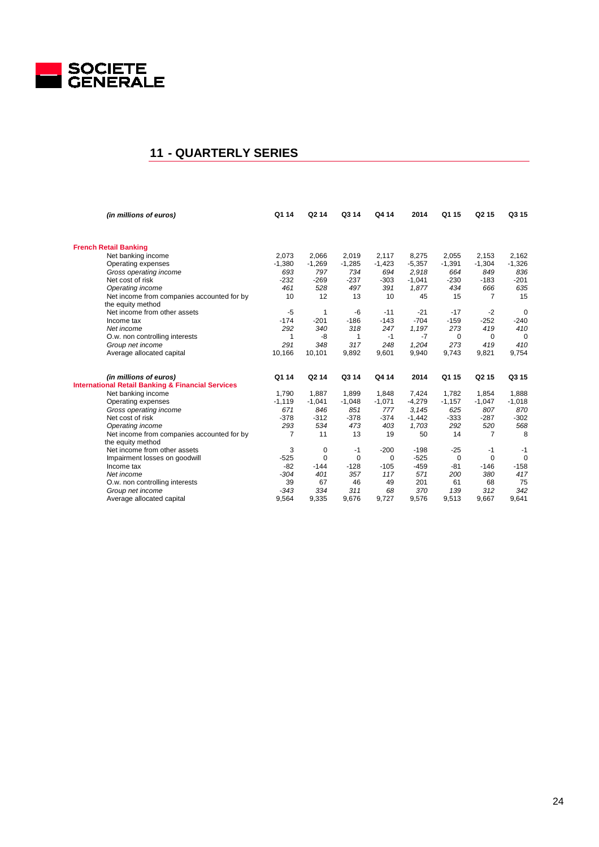

## **11 - QUARTERLY SERIES**

| (in millions of euros)                                       | Q1 14    | Q <sub>2</sub> 14 | Q3 14    | Q4 14    | 2014     | Q1 15    | Q <sub>2</sub> 15 | Q3 15       |
|--------------------------------------------------------------|----------|-------------------|----------|----------|----------|----------|-------------------|-------------|
| <b>French Retail Banking</b>                                 |          |                   |          |          |          |          |                   |             |
| Net banking income                                           | 2,073    | 2,066             | 2,019    | 2,117    | 8,275    | 2,055    | 2,153             | 2,162       |
| Operating expenses                                           | $-1,380$ | $-1,269$          | $-1,285$ | $-1,423$ | $-5,357$ | $-1,391$ | $-1,304$          | $-1,326$    |
| Gross operating income                                       | 693      | 797               | 734      | 694      | 2,918    | 664      | 849               | 836         |
| Net cost of risk                                             | $-232$   | $-269$            | $-237$   | $-303$   | $-1,041$ | $-230$   | $-183$            | $-201$      |
| Operating income                                             | 461      | 528               | 497      | 391      | 1,877    | 434      | 666               | 635         |
| Net income from companies accounted for by                   | 10       | 12                | 13       | 10       | 45       | 15       | $\overline{7}$    | 15          |
| the equity method                                            |          |                   |          |          |          |          |                   |             |
| Net income from other assets                                 | -5       | 1                 | -6       | $-11$    | $-21$    | $-17$    | $-2$              | 0           |
| Income tax                                                   | $-174$   | $-201$            | $-186$   | $-143$   | $-704$   | $-159$   | $-252$            | $-240$      |
| Net income                                                   | 292      | 340               | 318      | 247      | 1,197    | 273      | 419               | 410         |
| O.w. non controlling interests                               | 1        | $-8$              | 1        | $-1$     | $-7$     | 0        | 0                 | $\Omega$    |
| Group net income                                             | 291      | 348               | 317      | 248      | 1,204    | 273      | 419               | 410         |
| Average allocated capital                                    | 10,166   | 10,101            | 9,892    | 9,601    | 9,940    | 9,743    | 9,821             | 9,754       |
|                                                              |          |                   |          |          |          |          |                   |             |
| (in millions of euros)                                       | Q1 14    | Q <sub>2</sub> 14 | Q3 14    | Q4 14    | 2014     | Q1 15    | Q <sub>2</sub> 15 | Q3 15       |
| <b>International Retail Banking &amp; Financial Services</b> |          |                   |          |          |          |          |                   |             |
| Net banking income                                           | 1,790    | 1,887             | 1,899    | 1,848    | 7,424    | 1,782    | 1,854             | 1,888       |
| Operating expenses                                           | $-1,119$ | $-1,041$          | $-1,048$ | $-1,071$ | $-4,279$ | $-1,157$ | $-1,047$          | $-1,018$    |
| Gross operating income                                       | 671      | 846               | 851      | 777      | 3,145    | 625      | 807               | 870         |
| Net cost of risk                                             | $-378$   | $-312$            | $-378$   | $-374$   | $-1,442$ | $-333$   | $-287$            | $-302$      |
| Operating income                                             | 293      | 534               | 473      | 403      | 1,703    | 292      | 520               | 568         |
| Net income from companies accounted for by                   | 7        | 11                | 13       | 19       | 50       | 14       | $\overline{7}$    | 8           |
| the equity method                                            |          |                   |          |          |          |          |                   |             |
| Net income from other assets                                 | 3        | 0                 | $-1$     | $-200$   | $-198$   | $-25$    | $-1$              | -1          |
| Impairment losses on goodwill                                | $-525$   | 0                 | 0        | 0        | $-525$   | 0        | 0                 | $\mathbf 0$ |
| Income tax                                                   | $-82$    | $-144$            | $-128$   | $-105$   | $-459$   | -81      | $-146$            | $-158$      |
| Net income                                                   | $-304$   | 401               | 357      | 117      | 571      | 200      | 380               | 417         |
| O.w. non controlling interests                               | 39       | 67                | 46       | 49       | 201      | 61       | 68                | 75          |
| Group net income                                             | $-343$   | 334               | 311      | 68       | 370      | 139      | 312               | 342         |
| Average allocated capital                                    | 9,564    | 9,335             | 9,676    | 9,727    | 9,576    | 9,513    | 9,667             | 9,641       |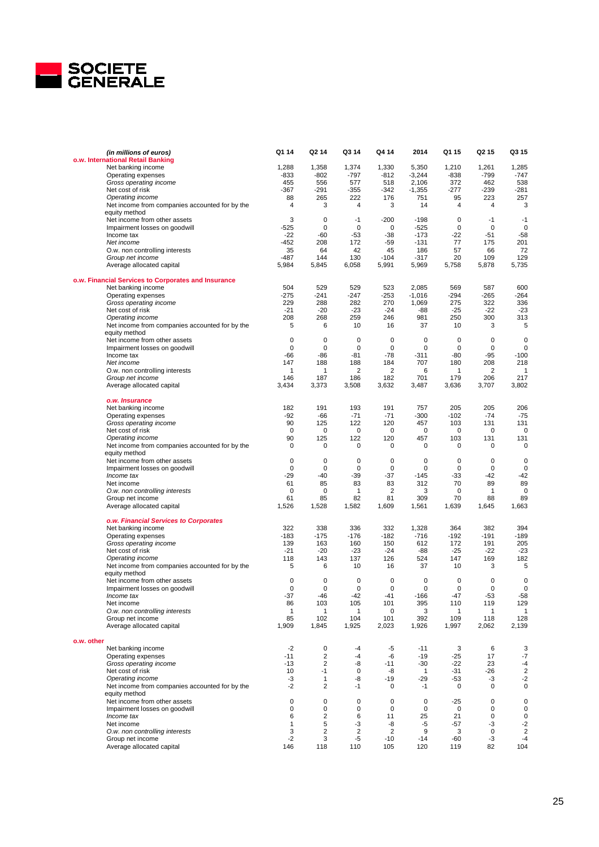

| o.w. International Retail Banking<br>1,288<br>1,358<br>Net banking income<br>1,374<br>1,330<br>5,350<br>1,210<br>1,261<br>-833<br>$-802$<br>$-797$<br>$-812$<br>$-3,244$<br>$-838$<br>$-799$<br>Operating expenses<br>455<br>556<br>577<br>518<br>2,106<br>372<br>462<br>Gross operating income<br>Net cost of risk<br>-367<br>$-291$<br>$-355$<br>$-342$<br>$-1,355$<br>$-277$<br>$-239$<br>88<br>265<br>222<br>176<br>751<br>95<br>223<br>Operating income<br>3<br>14<br>Net income from companies accounted for by the<br>4<br>4<br>3<br>4<br>4<br>equity method<br>3<br>0<br>$-200$<br>$-198$<br>0<br>Net income from other assets<br>-1<br>-1<br>$\mathbf 0$<br>$-525$<br>$\mathbf 0$<br>$\mathbf 0$<br>-525<br>0<br>Impairment losses on goodwill<br>0<br>$-22$<br>$-173$<br>$-60$<br>$-53$<br>$-38$<br>-22<br>$-51$<br>Income tax<br>Net income<br>$-452$<br>208<br>172<br>$-59$<br>$-131$<br>77<br>175<br>42<br>O.w. non controlling interests<br>35<br>64<br>45<br>186<br>57<br>66<br>-487<br>144<br>130<br>$-104$<br>$-317$<br>20<br>109<br>Group net income<br>5,969<br>5,984<br>5,845<br>6,058<br>5,991<br>5,758<br>5,878<br>Average allocated capital<br>o.w. Financial Services to Corporates and Insurance<br>504<br>529<br>529<br>523<br>2.085<br>569<br>587<br>Net banking income<br>$-275$<br>$-247$<br>$-253$<br>$-1,016$<br>Operating expenses<br>$-241$<br>$-294$<br>$-265$<br>229<br>288<br>282<br>1,069<br>Gross operating income<br>270<br>275<br>322<br>Net cost of risk<br>$-21$<br>$-20$<br>$-23$<br>$-24$<br>$-88$<br>$-25$<br>$-22$<br>208<br>268<br>981<br>259<br>246<br>250<br>300<br>Operating income<br>5<br>6<br>10<br>37<br>10<br>3<br>Net income from companies accounted for by the<br>16<br>equity method<br>$\mathbf 0$<br>$\mathbf 0$<br>$\mathbf 0$<br>0<br>0<br>0<br>$\mathbf 0$<br>Net income from other assets<br>$\mathbf 0$<br>$\pmb{0}$<br>0<br>$\mathbf 0$<br>$\mathbf 0$<br>$\mathsf 0$<br>0<br>Impairment losses on goodwill<br>$-78$<br>$-80$<br>-66<br>-86<br>-81<br>-311<br>$-95$<br>Income tax<br>188<br>707<br>Net income<br>147<br>188<br>184<br>180<br>208<br>1<br>2<br>2<br>6<br>2<br>O.w. non controlling interests<br>1<br>1<br>Group net income<br>146<br>187<br>186<br>182<br>701<br>179<br>206<br>3,434<br>3,373<br>3,508<br>3,487<br>3,636<br>3,707<br>Average allocated capital<br>3,632<br>o.w. Insurance<br>182<br>191<br>193<br>191<br>757<br>205<br>205<br>Net banking income<br>$-71$<br>$-300$<br>-92<br>$-66$<br>$-71$<br>$-102$<br>$-74$<br>Operating expenses<br>Gross operating income<br>90<br>125<br>122<br>120<br>457<br>103<br>131<br>Net cost of risk<br>0<br>0<br>0<br>0<br>0<br>0<br>0<br>120<br>457<br>90<br>125<br>122<br>103<br>131<br>Operating income<br>Net income from companies accounted for by the<br>0<br>0<br>0<br>0<br>0<br>0<br>0<br>equity method<br>$\mathbf 0$<br>0<br>0<br>0<br>$\mathbf 0$<br>0<br>0<br>Net income from other assets<br>$\pmb{0}$<br>$\mathbf 0$<br>$\mathbf 0$<br>$\mathbf 0$<br>0<br>0<br>$\mathbf 0$<br>Impairment losses on goodwill<br>$-29$<br>Income tax<br>-40<br>-39<br>$-37$<br>$-145$<br>-33<br>$-42$<br>61<br>85<br>83<br>83<br>312<br>70<br>89<br>Net income<br>O.w. non controlling interests<br>0<br>0<br>1<br>2<br>3<br>0<br>$\mathbf{1}$<br>61<br>85<br>82<br>309<br>70<br>88<br>Group net income<br>81<br>1,526<br>1,528<br>1,582<br>1,609<br>1,561<br>1,639<br>1,645<br>Average allocated capital<br>o.w. Financial Services to Corporates<br>322<br>338<br>336<br>332<br>1,328<br>364<br>382<br>Net banking income<br>-183<br>$-175$<br>$-176$<br>$-182$<br>$-716$<br>$-192$<br>$-191$<br>Operating expenses<br>Gross operating income<br>139<br>163<br>160<br>150<br>612<br>172<br>191<br>Net cost of risk<br>$-21$<br>$-20$<br>$-23$<br>$-24$<br>$-88$<br>$-25$<br>$-22$<br>118<br>143<br>137<br>126<br>524<br>147<br>169<br>Operating income | 1,285<br>$-747$<br>538<br>$-281$<br>257<br>3<br>-1<br>$\mathbf 0$<br>$-58$<br>201<br>72<br>129<br>5,735<br>600<br>$-264$<br>336<br>$-23$<br>313<br>5<br>0<br>0<br>$-100$<br>218<br>$\mathbf{1}$<br>217<br>3,802<br>206 |
|------------------------------------------------------------------------------------------------------------------------------------------------------------------------------------------------------------------------------------------------------------------------------------------------------------------------------------------------------------------------------------------------------------------------------------------------------------------------------------------------------------------------------------------------------------------------------------------------------------------------------------------------------------------------------------------------------------------------------------------------------------------------------------------------------------------------------------------------------------------------------------------------------------------------------------------------------------------------------------------------------------------------------------------------------------------------------------------------------------------------------------------------------------------------------------------------------------------------------------------------------------------------------------------------------------------------------------------------------------------------------------------------------------------------------------------------------------------------------------------------------------------------------------------------------------------------------------------------------------------------------------------------------------------------------------------------------------------------------------------------------------------------------------------------------------------------------------------------------------------------------------------------------------------------------------------------------------------------------------------------------------------------------------------------------------------------------------------------------------------------------------------------------------------------------------------------------------------------------------------------------------------------------------------------------------------------------------------------------------------------------------------------------------------------------------------------------------------------------------------------------------------------------------------------------------------------------------------------------------------------------------------------------------------------------------------------------------------------------------------------------------------------------------------------------------------------------------------------------------------------------------------------------------------------------------------------------------------------------------------------------------------------------------------------------------------------------------------------------------------------------------------------------------------------------------------------------------------------------------------------------------------------------------------------------------------------------------------------------------------------------------------------------------------------------------------------------------------------------------------------------------------------------------------------------------------------------------------------------------------------------------------------------------------------------------------------------------------------------------------------------------------------------------------------------------------------------------------------------------------------------------------|------------------------------------------------------------------------------------------------------------------------------------------------------------------------------------------------------------------------|
|                                                                                                                                                                                                                                                                                                                                                                                                                                                                                                                                                                                                                                                                                                                                                                                                                                                                                                                                                                                                                                                                                                                                                                                                                                                                                                                                                                                                                                                                                                                                                                                                                                                                                                                                                                                                                                                                                                                                                                                                                                                                                                                                                                                                                                                                                                                                                                                                                                                                                                                                                                                                                                                                                                                                                                                                                                                                                                                                                                                                                                                                                                                                                                                                                                                                                                                                                                                                                                                                                                                                                                                                                                                                                                                                                                                                                                                                                          |                                                                                                                                                                                                                        |
|                                                                                                                                                                                                                                                                                                                                                                                                                                                                                                                                                                                                                                                                                                                                                                                                                                                                                                                                                                                                                                                                                                                                                                                                                                                                                                                                                                                                                                                                                                                                                                                                                                                                                                                                                                                                                                                                                                                                                                                                                                                                                                                                                                                                                                                                                                                                                                                                                                                                                                                                                                                                                                                                                                                                                                                                                                                                                                                                                                                                                                                                                                                                                                                                                                                                                                                                                                                                                                                                                                                                                                                                                                                                                                                                                                                                                                                                                          |                                                                                                                                                                                                                        |
|                                                                                                                                                                                                                                                                                                                                                                                                                                                                                                                                                                                                                                                                                                                                                                                                                                                                                                                                                                                                                                                                                                                                                                                                                                                                                                                                                                                                                                                                                                                                                                                                                                                                                                                                                                                                                                                                                                                                                                                                                                                                                                                                                                                                                                                                                                                                                                                                                                                                                                                                                                                                                                                                                                                                                                                                                                                                                                                                                                                                                                                                                                                                                                                                                                                                                                                                                                                                                                                                                                                                                                                                                                                                                                                                                                                                                                                                                          |                                                                                                                                                                                                                        |
|                                                                                                                                                                                                                                                                                                                                                                                                                                                                                                                                                                                                                                                                                                                                                                                                                                                                                                                                                                                                                                                                                                                                                                                                                                                                                                                                                                                                                                                                                                                                                                                                                                                                                                                                                                                                                                                                                                                                                                                                                                                                                                                                                                                                                                                                                                                                                                                                                                                                                                                                                                                                                                                                                                                                                                                                                                                                                                                                                                                                                                                                                                                                                                                                                                                                                                                                                                                                                                                                                                                                                                                                                                                                                                                                                                                                                                                                                          |                                                                                                                                                                                                                        |
|                                                                                                                                                                                                                                                                                                                                                                                                                                                                                                                                                                                                                                                                                                                                                                                                                                                                                                                                                                                                                                                                                                                                                                                                                                                                                                                                                                                                                                                                                                                                                                                                                                                                                                                                                                                                                                                                                                                                                                                                                                                                                                                                                                                                                                                                                                                                                                                                                                                                                                                                                                                                                                                                                                                                                                                                                                                                                                                                                                                                                                                                                                                                                                                                                                                                                                                                                                                                                                                                                                                                                                                                                                                                                                                                                                                                                                                                                          |                                                                                                                                                                                                                        |
|                                                                                                                                                                                                                                                                                                                                                                                                                                                                                                                                                                                                                                                                                                                                                                                                                                                                                                                                                                                                                                                                                                                                                                                                                                                                                                                                                                                                                                                                                                                                                                                                                                                                                                                                                                                                                                                                                                                                                                                                                                                                                                                                                                                                                                                                                                                                                                                                                                                                                                                                                                                                                                                                                                                                                                                                                                                                                                                                                                                                                                                                                                                                                                                                                                                                                                                                                                                                                                                                                                                                                                                                                                                                                                                                                                                                                                                                                          |                                                                                                                                                                                                                        |
|                                                                                                                                                                                                                                                                                                                                                                                                                                                                                                                                                                                                                                                                                                                                                                                                                                                                                                                                                                                                                                                                                                                                                                                                                                                                                                                                                                                                                                                                                                                                                                                                                                                                                                                                                                                                                                                                                                                                                                                                                                                                                                                                                                                                                                                                                                                                                                                                                                                                                                                                                                                                                                                                                                                                                                                                                                                                                                                                                                                                                                                                                                                                                                                                                                                                                                                                                                                                                                                                                                                                                                                                                                                                                                                                                                                                                                                                                          |                                                                                                                                                                                                                        |
|                                                                                                                                                                                                                                                                                                                                                                                                                                                                                                                                                                                                                                                                                                                                                                                                                                                                                                                                                                                                                                                                                                                                                                                                                                                                                                                                                                                                                                                                                                                                                                                                                                                                                                                                                                                                                                                                                                                                                                                                                                                                                                                                                                                                                                                                                                                                                                                                                                                                                                                                                                                                                                                                                                                                                                                                                                                                                                                                                                                                                                                                                                                                                                                                                                                                                                                                                                                                                                                                                                                                                                                                                                                                                                                                                                                                                                                                                          |                                                                                                                                                                                                                        |
|                                                                                                                                                                                                                                                                                                                                                                                                                                                                                                                                                                                                                                                                                                                                                                                                                                                                                                                                                                                                                                                                                                                                                                                                                                                                                                                                                                                                                                                                                                                                                                                                                                                                                                                                                                                                                                                                                                                                                                                                                                                                                                                                                                                                                                                                                                                                                                                                                                                                                                                                                                                                                                                                                                                                                                                                                                                                                                                                                                                                                                                                                                                                                                                                                                                                                                                                                                                                                                                                                                                                                                                                                                                                                                                                                                                                                                                                                          |                                                                                                                                                                                                                        |
|                                                                                                                                                                                                                                                                                                                                                                                                                                                                                                                                                                                                                                                                                                                                                                                                                                                                                                                                                                                                                                                                                                                                                                                                                                                                                                                                                                                                                                                                                                                                                                                                                                                                                                                                                                                                                                                                                                                                                                                                                                                                                                                                                                                                                                                                                                                                                                                                                                                                                                                                                                                                                                                                                                                                                                                                                                                                                                                                                                                                                                                                                                                                                                                                                                                                                                                                                                                                                                                                                                                                                                                                                                                                                                                                                                                                                                                                                          |                                                                                                                                                                                                                        |
|                                                                                                                                                                                                                                                                                                                                                                                                                                                                                                                                                                                                                                                                                                                                                                                                                                                                                                                                                                                                                                                                                                                                                                                                                                                                                                                                                                                                                                                                                                                                                                                                                                                                                                                                                                                                                                                                                                                                                                                                                                                                                                                                                                                                                                                                                                                                                                                                                                                                                                                                                                                                                                                                                                                                                                                                                                                                                                                                                                                                                                                                                                                                                                                                                                                                                                                                                                                                                                                                                                                                                                                                                                                                                                                                                                                                                                                                                          |                                                                                                                                                                                                                        |
|                                                                                                                                                                                                                                                                                                                                                                                                                                                                                                                                                                                                                                                                                                                                                                                                                                                                                                                                                                                                                                                                                                                                                                                                                                                                                                                                                                                                                                                                                                                                                                                                                                                                                                                                                                                                                                                                                                                                                                                                                                                                                                                                                                                                                                                                                                                                                                                                                                                                                                                                                                                                                                                                                                                                                                                                                                                                                                                                                                                                                                                                                                                                                                                                                                                                                                                                                                                                                                                                                                                                                                                                                                                                                                                                                                                                                                                                                          |                                                                                                                                                                                                                        |
|                                                                                                                                                                                                                                                                                                                                                                                                                                                                                                                                                                                                                                                                                                                                                                                                                                                                                                                                                                                                                                                                                                                                                                                                                                                                                                                                                                                                                                                                                                                                                                                                                                                                                                                                                                                                                                                                                                                                                                                                                                                                                                                                                                                                                                                                                                                                                                                                                                                                                                                                                                                                                                                                                                                                                                                                                                                                                                                                                                                                                                                                                                                                                                                                                                                                                                                                                                                                                                                                                                                                                                                                                                                                                                                                                                                                                                                                                          |                                                                                                                                                                                                                        |
|                                                                                                                                                                                                                                                                                                                                                                                                                                                                                                                                                                                                                                                                                                                                                                                                                                                                                                                                                                                                                                                                                                                                                                                                                                                                                                                                                                                                                                                                                                                                                                                                                                                                                                                                                                                                                                                                                                                                                                                                                                                                                                                                                                                                                                                                                                                                                                                                                                                                                                                                                                                                                                                                                                                                                                                                                                                                                                                                                                                                                                                                                                                                                                                                                                                                                                                                                                                                                                                                                                                                                                                                                                                                                                                                                                                                                                                                                          |                                                                                                                                                                                                                        |
|                                                                                                                                                                                                                                                                                                                                                                                                                                                                                                                                                                                                                                                                                                                                                                                                                                                                                                                                                                                                                                                                                                                                                                                                                                                                                                                                                                                                                                                                                                                                                                                                                                                                                                                                                                                                                                                                                                                                                                                                                                                                                                                                                                                                                                                                                                                                                                                                                                                                                                                                                                                                                                                                                                                                                                                                                                                                                                                                                                                                                                                                                                                                                                                                                                                                                                                                                                                                                                                                                                                                                                                                                                                                                                                                                                                                                                                                                          |                                                                                                                                                                                                                        |
|                                                                                                                                                                                                                                                                                                                                                                                                                                                                                                                                                                                                                                                                                                                                                                                                                                                                                                                                                                                                                                                                                                                                                                                                                                                                                                                                                                                                                                                                                                                                                                                                                                                                                                                                                                                                                                                                                                                                                                                                                                                                                                                                                                                                                                                                                                                                                                                                                                                                                                                                                                                                                                                                                                                                                                                                                                                                                                                                                                                                                                                                                                                                                                                                                                                                                                                                                                                                                                                                                                                                                                                                                                                                                                                                                                                                                                                                                          |                                                                                                                                                                                                                        |
|                                                                                                                                                                                                                                                                                                                                                                                                                                                                                                                                                                                                                                                                                                                                                                                                                                                                                                                                                                                                                                                                                                                                                                                                                                                                                                                                                                                                                                                                                                                                                                                                                                                                                                                                                                                                                                                                                                                                                                                                                                                                                                                                                                                                                                                                                                                                                                                                                                                                                                                                                                                                                                                                                                                                                                                                                                                                                                                                                                                                                                                                                                                                                                                                                                                                                                                                                                                                                                                                                                                                                                                                                                                                                                                                                                                                                                                                                          |                                                                                                                                                                                                                        |
|                                                                                                                                                                                                                                                                                                                                                                                                                                                                                                                                                                                                                                                                                                                                                                                                                                                                                                                                                                                                                                                                                                                                                                                                                                                                                                                                                                                                                                                                                                                                                                                                                                                                                                                                                                                                                                                                                                                                                                                                                                                                                                                                                                                                                                                                                                                                                                                                                                                                                                                                                                                                                                                                                                                                                                                                                                                                                                                                                                                                                                                                                                                                                                                                                                                                                                                                                                                                                                                                                                                                                                                                                                                                                                                                                                                                                                                                                          |                                                                                                                                                                                                                        |
|                                                                                                                                                                                                                                                                                                                                                                                                                                                                                                                                                                                                                                                                                                                                                                                                                                                                                                                                                                                                                                                                                                                                                                                                                                                                                                                                                                                                                                                                                                                                                                                                                                                                                                                                                                                                                                                                                                                                                                                                                                                                                                                                                                                                                                                                                                                                                                                                                                                                                                                                                                                                                                                                                                                                                                                                                                                                                                                                                                                                                                                                                                                                                                                                                                                                                                                                                                                                                                                                                                                                                                                                                                                                                                                                                                                                                                                                                          |                                                                                                                                                                                                                        |
|                                                                                                                                                                                                                                                                                                                                                                                                                                                                                                                                                                                                                                                                                                                                                                                                                                                                                                                                                                                                                                                                                                                                                                                                                                                                                                                                                                                                                                                                                                                                                                                                                                                                                                                                                                                                                                                                                                                                                                                                                                                                                                                                                                                                                                                                                                                                                                                                                                                                                                                                                                                                                                                                                                                                                                                                                                                                                                                                                                                                                                                                                                                                                                                                                                                                                                                                                                                                                                                                                                                                                                                                                                                                                                                                                                                                                                                                                          |                                                                                                                                                                                                                        |
|                                                                                                                                                                                                                                                                                                                                                                                                                                                                                                                                                                                                                                                                                                                                                                                                                                                                                                                                                                                                                                                                                                                                                                                                                                                                                                                                                                                                                                                                                                                                                                                                                                                                                                                                                                                                                                                                                                                                                                                                                                                                                                                                                                                                                                                                                                                                                                                                                                                                                                                                                                                                                                                                                                                                                                                                                                                                                                                                                                                                                                                                                                                                                                                                                                                                                                                                                                                                                                                                                                                                                                                                                                                                                                                                                                                                                                                                                          |                                                                                                                                                                                                                        |
|                                                                                                                                                                                                                                                                                                                                                                                                                                                                                                                                                                                                                                                                                                                                                                                                                                                                                                                                                                                                                                                                                                                                                                                                                                                                                                                                                                                                                                                                                                                                                                                                                                                                                                                                                                                                                                                                                                                                                                                                                                                                                                                                                                                                                                                                                                                                                                                                                                                                                                                                                                                                                                                                                                                                                                                                                                                                                                                                                                                                                                                                                                                                                                                                                                                                                                                                                                                                                                                                                                                                                                                                                                                                                                                                                                                                                                                                                          |                                                                                                                                                                                                                        |
|                                                                                                                                                                                                                                                                                                                                                                                                                                                                                                                                                                                                                                                                                                                                                                                                                                                                                                                                                                                                                                                                                                                                                                                                                                                                                                                                                                                                                                                                                                                                                                                                                                                                                                                                                                                                                                                                                                                                                                                                                                                                                                                                                                                                                                                                                                                                                                                                                                                                                                                                                                                                                                                                                                                                                                                                                                                                                                                                                                                                                                                                                                                                                                                                                                                                                                                                                                                                                                                                                                                                                                                                                                                                                                                                                                                                                                                                                          |                                                                                                                                                                                                                        |
|                                                                                                                                                                                                                                                                                                                                                                                                                                                                                                                                                                                                                                                                                                                                                                                                                                                                                                                                                                                                                                                                                                                                                                                                                                                                                                                                                                                                                                                                                                                                                                                                                                                                                                                                                                                                                                                                                                                                                                                                                                                                                                                                                                                                                                                                                                                                                                                                                                                                                                                                                                                                                                                                                                                                                                                                                                                                                                                                                                                                                                                                                                                                                                                                                                                                                                                                                                                                                                                                                                                                                                                                                                                                                                                                                                                                                                                                                          |                                                                                                                                                                                                                        |
|                                                                                                                                                                                                                                                                                                                                                                                                                                                                                                                                                                                                                                                                                                                                                                                                                                                                                                                                                                                                                                                                                                                                                                                                                                                                                                                                                                                                                                                                                                                                                                                                                                                                                                                                                                                                                                                                                                                                                                                                                                                                                                                                                                                                                                                                                                                                                                                                                                                                                                                                                                                                                                                                                                                                                                                                                                                                                                                                                                                                                                                                                                                                                                                                                                                                                                                                                                                                                                                                                                                                                                                                                                                                                                                                                                                                                                                                                          |                                                                                                                                                                                                                        |
|                                                                                                                                                                                                                                                                                                                                                                                                                                                                                                                                                                                                                                                                                                                                                                                                                                                                                                                                                                                                                                                                                                                                                                                                                                                                                                                                                                                                                                                                                                                                                                                                                                                                                                                                                                                                                                                                                                                                                                                                                                                                                                                                                                                                                                                                                                                                                                                                                                                                                                                                                                                                                                                                                                                                                                                                                                                                                                                                                                                                                                                                                                                                                                                                                                                                                                                                                                                                                                                                                                                                                                                                                                                                                                                                                                                                                                                                                          |                                                                                                                                                                                                                        |
|                                                                                                                                                                                                                                                                                                                                                                                                                                                                                                                                                                                                                                                                                                                                                                                                                                                                                                                                                                                                                                                                                                                                                                                                                                                                                                                                                                                                                                                                                                                                                                                                                                                                                                                                                                                                                                                                                                                                                                                                                                                                                                                                                                                                                                                                                                                                                                                                                                                                                                                                                                                                                                                                                                                                                                                                                                                                                                                                                                                                                                                                                                                                                                                                                                                                                                                                                                                                                                                                                                                                                                                                                                                                                                                                                                                                                                                                                          |                                                                                                                                                                                                                        |
|                                                                                                                                                                                                                                                                                                                                                                                                                                                                                                                                                                                                                                                                                                                                                                                                                                                                                                                                                                                                                                                                                                                                                                                                                                                                                                                                                                                                                                                                                                                                                                                                                                                                                                                                                                                                                                                                                                                                                                                                                                                                                                                                                                                                                                                                                                                                                                                                                                                                                                                                                                                                                                                                                                                                                                                                                                                                                                                                                                                                                                                                                                                                                                                                                                                                                                                                                                                                                                                                                                                                                                                                                                                                                                                                                                                                                                                                                          |                                                                                                                                                                                                                        |
|                                                                                                                                                                                                                                                                                                                                                                                                                                                                                                                                                                                                                                                                                                                                                                                                                                                                                                                                                                                                                                                                                                                                                                                                                                                                                                                                                                                                                                                                                                                                                                                                                                                                                                                                                                                                                                                                                                                                                                                                                                                                                                                                                                                                                                                                                                                                                                                                                                                                                                                                                                                                                                                                                                                                                                                                                                                                                                                                                                                                                                                                                                                                                                                                                                                                                                                                                                                                                                                                                                                                                                                                                                                                                                                                                                                                                                                                                          |                                                                                                                                                                                                                        |
|                                                                                                                                                                                                                                                                                                                                                                                                                                                                                                                                                                                                                                                                                                                                                                                                                                                                                                                                                                                                                                                                                                                                                                                                                                                                                                                                                                                                                                                                                                                                                                                                                                                                                                                                                                                                                                                                                                                                                                                                                                                                                                                                                                                                                                                                                                                                                                                                                                                                                                                                                                                                                                                                                                                                                                                                                                                                                                                                                                                                                                                                                                                                                                                                                                                                                                                                                                                                                                                                                                                                                                                                                                                                                                                                                                                                                                                                                          |                                                                                                                                                                                                                        |
|                                                                                                                                                                                                                                                                                                                                                                                                                                                                                                                                                                                                                                                                                                                                                                                                                                                                                                                                                                                                                                                                                                                                                                                                                                                                                                                                                                                                                                                                                                                                                                                                                                                                                                                                                                                                                                                                                                                                                                                                                                                                                                                                                                                                                                                                                                                                                                                                                                                                                                                                                                                                                                                                                                                                                                                                                                                                                                                                                                                                                                                                                                                                                                                                                                                                                                                                                                                                                                                                                                                                                                                                                                                                                                                                                                                                                                                                                          |                                                                                                                                                                                                                        |
|                                                                                                                                                                                                                                                                                                                                                                                                                                                                                                                                                                                                                                                                                                                                                                                                                                                                                                                                                                                                                                                                                                                                                                                                                                                                                                                                                                                                                                                                                                                                                                                                                                                                                                                                                                                                                                                                                                                                                                                                                                                                                                                                                                                                                                                                                                                                                                                                                                                                                                                                                                                                                                                                                                                                                                                                                                                                                                                                                                                                                                                                                                                                                                                                                                                                                                                                                                                                                                                                                                                                                                                                                                                                                                                                                                                                                                                                                          | $-75$                                                                                                                                                                                                                  |
|                                                                                                                                                                                                                                                                                                                                                                                                                                                                                                                                                                                                                                                                                                                                                                                                                                                                                                                                                                                                                                                                                                                                                                                                                                                                                                                                                                                                                                                                                                                                                                                                                                                                                                                                                                                                                                                                                                                                                                                                                                                                                                                                                                                                                                                                                                                                                                                                                                                                                                                                                                                                                                                                                                                                                                                                                                                                                                                                                                                                                                                                                                                                                                                                                                                                                                                                                                                                                                                                                                                                                                                                                                                                                                                                                                                                                                                                                          | 131                                                                                                                                                                                                                    |
|                                                                                                                                                                                                                                                                                                                                                                                                                                                                                                                                                                                                                                                                                                                                                                                                                                                                                                                                                                                                                                                                                                                                                                                                                                                                                                                                                                                                                                                                                                                                                                                                                                                                                                                                                                                                                                                                                                                                                                                                                                                                                                                                                                                                                                                                                                                                                                                                                                                                                                                                                                                                                                                                                                                                                                                                                                                                                                                                                                                                                                                                                                                                                                                                                                                                                                                                                                                                                                                                                                                                                                                                                                                                                                                                                                                                                                                                                          | 0                                                                                                                                                                                                                      |
|                                                                                                                                                                                                                                                                                                                                                                                                                                                                                                                                                                                                                                                                                                                                                                                                                                                                                                                                                                                                                                                                                                                                                                                                                                                                                                                                                                                                                                                                                                                                                                                                                                                                                                                                                                                                                                                                                                                                                                                                                                                                                                                                                                                                                                                                                                                                                                                                                                                                                                                                                                                                                                                                                                                                                                                                                                                                                                                                                                                                                                                                                                                                                                                                                                                                                                                                                                                                                                                                                                                                                                                                                                                                                                                                                                                                                                                                                          | 131                                                                                                                                                                                                                    |
|                                                                                                                                                                                                                                                                                                                                                                                                                                                                                                                                                                                                                                                                                                                                                                                                                                                                                                                                                                                                                                                                                                                                                                                                                                                                                                                                                                                                                                                                                                                                                                                                                                                                                                                                                                                                                                                                                                                                                                                                                                                                                                                                                                                                                                                                                                                                                                                                                                                                                                                                                                                                                                                                                                                                                                                                                                                                                                                                                                                                                                                                                                                                                                                                                                                                                                                                                                                                                                                                                                                                                                                                                                                                                                                                                                                                                                                                                          | 0                                                                                                                                                                                                                      |
|                                                                                                                                                                                                                                                                                                                                                                                                                                                                                                                                                                                                                                                                                                                                                                                                                                                                                                                                                                                                                                                                                                                                                                                                                                                                                                                                                                                                                                                                                                                                                                                                                                                                                                                                                                                                                                                                                                                                                                                                                                                                                                                                                                                                                                                                                                                                                                                                                                                                                                                                                                                                                                                                                                                                                                                                                                                                                                                                                                                                                                                                                                                                                                                                                                                                                                                                                                                                                                                                                                                                                                                                                                                                                                                                                                                                                                                                                          |                                                                                                                                                                                                                        |
|                                                                                                                                                                                                                                                                                                                                                                                                                                                                                                                                                                                                                                                                                                                                                                                                                                                                                                                                                                                                                                                                                                                                                                                                                                                                                                                                                                                                                                                                                                                                                                                                                                                                                                                                                                                                                                                                                                                                                                                                                                                                                                                                                                                                                                                                                                                                                                                                                                                                                                                                                                                                                                                                                                                                                                                                                                                                                                                                                                                                                                                                                                                                                                                                                                                                                                                                                                                                                                                                                                                                                                                                                                                                                                                                                                                                                                                                                          | 0                                                                                                                                                                                                                      |
|                                                                                                                                                                                                                                                                                                                                                                                                                                                                                                                                                                                                                                                                                                                                                                                                                                                                                                                                                                                                                                                                                                                                                                                                                                                                                                                                                                                                                                                                                                                                                                                                                                                                                                                                                                                                                                                                                                                                                                                                                                                                                                                                                                                                                                                                                                                                                                                                                                                                                                                                                                                                                                                                                                                                                                                                                                                                                                                                                                                                                                                                                                                                                                                                                                                                                                                                                                                                                                                                                                                                                                                                                                                                                                                                                                                                                                                                                          | 0                                                                                                                                                                                                                      |
|                                                                                                                                                                                                                                                                                                                                                                                                                                                                                                                                                                                                                                                                                                                                                                                                                                                                                                                                                                                                                                                                                                                                                                                                                                                                                                                                                                                                                                                                                                                                                                                                                                                                                                                                                                                                                                                                                                                                                                                                                                                                                                                                                                                                                                                                                                                                                                                                                                                                                                                                                                                                                                                                                                                                                                                                                                                                                                                                                                                                                                                                                                                                                                                                                                                                                                                                                                                                                                                                                                                                                                                                                                                                                                                                                                                                                                                                                          | $-42$                                                                                                                                                                                                                  |
|                                                                                                                                                                                                                                                                                                                                                                                                                                                                                                                                                                                                                                                                                                                                                                                                                                                                                                                                                                                                                                                                                                                                                                                                                                                                                                                                                                                                                                                                                                                                                                                                                                                                                                                                                                                                                                                                                                                                                                                                                                                                                                                                                                                                                                                                                                                                                                                                                                                                                                                                                                                                                                                                                                                                                                                                                                                                                                                                                                                                                                                                                                                                                                                                                                                                                                                                                                                                                                                                                                                                                                                                                                                                                                                                                                                                                                                                                          | 89                                                                                                                                                                                                                     |
|                                                                                                                                                                                                                                                                                                                                                                                                                                                                                                                                                                                                                                                                                                                                                                                                                                                                                                                                                                                                                                                                                                                                                                                                                                                                                                                                                                                                                                                                                                                                                                                                                                                                                                                                                                                                                                                                                                                                                                                                                                                                                                                                                                                                                                                                                                                                                                                                                                                                                                                                                                                                                                                                                                                                                                                                                                                                                                                                                                                                                                                                                                                                                                                                                                                                                                                                                                                                                                                                                                                                                                                                                                                                                                                                                                                                                                                                                          | 0                                                                                                                                                                                                                      |
|                                                                                                                                                                                                                                                                                                                                                                                                                                                                                                                                                                                                                                                                                                                                                                                                                                                                                                                                                                                                                                                                                                                                                                                                                                                                                                                                                                                                                                                                                                                                                                                                                                                                                                                                                                                                                                                                                                                                                                                                                                                                                                                                                                                                                                                                                                                                                                                                                                                                                                                                                                                                                                                                                                                                                                                                                                                                                                                                                                                                                                                                                                                                                                                                                                                                                                                                                                                                                                                                                                                                                                                                                                                                                                                                                                                                                                                                                          | 89                                                                                                                                                                                                                     |
|                                                                                                                                                                                                                                                                                                                                                                                                                                                                                                                                                                                                                                                                                                                                                                                                                                                                                                                                                                                                                                                                                                                                                                                                                                                                                                                                                                                                                                                                                                                                                                                                                                                                                                                                                                                                                                                                                                                                                                                                                                                                                                                                                                                                                                                                                                                                                                                                                                                                                                                                                                                                                                                                                                                                                                                                                                                                                                                                                                                                                                                                                                                                                                                                                                                                                                                                                                                                                                                                                                                                                                                                                                                                                                                                                                                                                                                                                          | 1,663                                                                                                                                                                                                                  |
|                                                                                                                                                                                                                                                                                                                                                                                                                                                                                                                                                                                                                                                                                                                                                                                                                                                                                                                                                                                                                                                                                                                                                                                                                                                                                                                                                                                                                                                                                                                                                                                                                                                                                                                                                                                                                                                                                                                                                                                                                                                                                                                                                                                                                                                                                                                                                                                                                                                                                                                                                                                                                                                                                                                                                                                                                                                                                                                                                                                                                                                                                                                                                                                                                                                                                                                                                                                                                                                                                                                                                                                                                                                                                                                                                                                                                                                                                          |                                                                                                                                                                                                                        |
|                                                                                                                                                                                                                                                                                                                                                                                                                                                                                                                                                                                                                                                                                                                                                                                                                                                                                                                                                                                                                                                                                                                                                                                                                                                                                                                                                                                                                                                                                                                                                                                                                                                                                                                                                                                                                                                                                                                                                                                                                                                                                                                                                                                                                                                                                                                                                                                                                                                                                                                                                                                                                                                                                                                                                                                                                                                                                                                                                                                                                                                                                                                                                                                                                                                                                                                                                                                                                                                                                                                                                                                                                                                                                                                                                                                                                                                                                          | 394                                                                                                                                                                                                                    |
|                                                                                                                                                                                                                                                                                                                                                                                                                                                                                                                                                                                                                                                                                                                                                                                                                                                                                                                                                                                                                                                                                                                                                                                                                                                                                                                                                                                                                                                                                                                                                                                                                                                                                                                                                                                                                                                                                                                                                                                                                                                                                                                                                                                                                                                                                                                                                                                                                                                                                                                                                                                                                                                                                                                                                                                                                                                                                                                                                                                                                                                                                                                                                                                                                                                                                                                                                                                                                                                                                                                                                                                                                                                                                                                                                                                                                                                                                          | $-189$                                                                                                                                                                                                                 |
|                                                                                                                                                                                                                                                                                                                                                                                                                                                                                                                                                                                                                                                                                                                                                                                                                                                                                                                                                                                                                                                                                                                                                                                                                                                                                                                                                                                                                                                                                                                                                                                                                                                                                                                                                                                                                                                                                                                                                                                                                                                                                                                                                                                                                                                                                                                                                                                                                                                                                                                                                                                                                                                                                                                                                                                                                                                                                                                                                                                                                                                                                                                                                                                                                                                                                                                                                                                                                                                                                                                                                                                                                                                                                                                                                                                                                                                                                          | 205                                                                                                                                                                                                                    |
|                                                                                                                                                                                                                                                                                                                                                                                                                                                                                                                                                                                                                                                                                                                                                                                                                                                                                                                                                                                                                                                                                                                                                                                                                                                                                                                                                                                                                                                                                                                                                                                                                                                                                                                                                                                                                                                                                                                                                                                                                                                                                                                                                                                                                                                                                                                                                                                                                                                                                                                                                                                                                                                                                                                                                                                                                                                                                                                                                                                                                                                                                                                                                                                                                                                                                                                                                                                                                                                                                                                                                                                                                                                                                                                                                                                                                                                                                          | $-23$                                                                                                                                                                                                                  |
|                                                                                                                                                                                                                                                                                                                                                                                                                                                                                                                                                                                                                                                                                                                                                                                                                                                                                                                                                                                                                                                                                                                                                                                                                                                                                                                                                                                                                                                                                                                                                                                                                                                                                                                                                                                                                                                                                                                                                                                                                                                                                                                                                                                                                                                                                                                                                                                                                                                                                                                                                                                                                                                                                                                                                                                                                                                                                                                                                                                                                                                                                                                                                                                                                                                                                                                                                                                                                                                                                                                                                                                                                                                                                                                                                                                                                                                                                          | 182                                                                                                                                                                                                                    |
| Net income from companies accounted for by the<br>5<br>6<br>10<br>16<br>37<br>10<br>3                                                                                                                                                                                                                                                                                                                                                                                                                                                                                                                                                                                                                                                                                                                                                                                                                                                                                                                                                                                                                                                                                                                                                                                                                                                                                                                                                                                                                                                                                                                                                                                                                                                                                                                                                                                                                                                                                                                                                                                                                                                                                                                                                                                                                                                                                                                                                                                                                                                                                                                                                                                                                                                                                                                                                                                                                                                                                                                                                                                                                                                                                                                                                                                                                                                                                                                                                                                                                                                                                                                                                                                                                                                                                                                                                                                                    | 5                                                                                                                                                                                                                      |
| equity method                                                                                                                                                                                                                                                                                                                                                                                                                                                                                                                                                                                                                                                                                                                                                                                                                                                                                                                                                                                                                                                                                                                                                                                                                                                                                                                                                                                                                                                                                                                                                                                                                                                                                                                                                                                                                                                                                                                                                                                                                                                                                                                                                                                                                                                                                                                                                                                                                                                                                                                                                                                                                                                                                                                                                                                                                                                                                                                                                                                                                                                                                                                                                                                                                                                                                                                                                                                                                                                                                                                                                                                                                                                                                                                                                                                                                                                                            |                                                                                                                                                                                                                        |
| 0<br>0<br>0<br>0<br>$\mathbf 0$<br>0<br>0<br>Net income from other assets                                                                                                                                                                                                                                                                                                                                                                                                                                                                                                                                                                                                                                                                                                                                                                                                                                                                                                                                                                                                                                                                                                                                                                                                                                                                                                                                                                                                                                                                                                                                                                                                                                                                                                                                                                                                                                                                                                                                                                                                                                                                                                                                                                                                                                                                                                                                                                                                                                                                                                                                                                                                                                                                                                                                                                                                                                                                                                                                                                                                                                                                                                                                                                                                                                                                                                                                                                                                                                                                                                                                                                                                                                                                                                                                                                                                                | 0                                                                                                                                                                                                                      |
| $\mathbf 0$<br>0<br>$\mathbf 0$<br>$\mathbf 0$<br>0<br>0<br>$\mathbf 0$<br>Impairment losses on goodwill                                                                                                                                                                                                                                                                                                                                                                                                                                                                                                                                                                                                                                                                                                                                                                                                                                                                                                                                                                                                                                                                                                                                                                                                                                                                                                                                                                                                                                                                                                                                                                                                                                                                                                                                                                                                                                                                                                                                                                                                                                                                                                                                                                                                                                                                                                                                                                                                                                                                                                                                                                                                                                                                                                                                                                                                                                                                                                                                                                                                                                                                                                                                                                                                                                                                                                                                                                                                                                                                                                                                                                                                                                                                                                                                                                                 | 0                                                                                                                                                                                                                      |
| -37<br>-46<br>42<br>$-166$<br>47<br>-53<br>Income tax<br>-41                                                                                                                                                                                                                                                                                                                                                                                                                                                                                                                                                                                                                                                                                                                                                                                                                                                                                                                                                                                                                                                                                                                                                                                                                                                                                                                                                                                                                                                                                                                                                                                                                                                                                                                                                                                                                                                                                                                                                                                                                                                                                                                                                                                                                                                                                                                                                                                                                                                                                                                                                                                                                                                                                                                                                                                                                                                                                                                                                                                                                                                                                                                                                                                                                                                                                                                                                                                                                                                                                                                                                                                                                                                                                                                                                                                                                             | -58                                                                                                                                                                                                                    |
| 86<br>103<br>105<br>101<br>395<br>110<br>119<br>Net income                                                                                                                                                                                                                                                                                                                                                                                                                                                                                                                                                                                                                                                                                                                                                                                                                                                                                                                                                                                                                                                                                                                                                                                                                                                                                                                                                                                                                                                                                                                                                                                                                                                                                                                                                                                                                                                                                                                                                                                                                                                                                                                                                                                                                                                                                                                                                                                                                                                                                                                                                                                                                                                                                                                                                                                                                                                                                                                                                                                                                                                                                                                                                                                                                                                                                                                                                                                                                                                                                                                                                                                                                                                                                                                                                                                                                               | 129                                                                                                                                                                                                                    |
| O.w. non controlling interests<br>$\mathbf 1$<br>1<br>1<br>0<br>3<br>1<br>1<br>Group net income<br>85<br>102<br>104<br>101<br>392<br>109<br>118                                                                                                                                                                                                                                                                                                                                                                                                                                                                                                                                                                                                                                                                                                                                                                                                                                                                                                                                                                                                                                                                                                                                                                                                                                                                                                                                                                                                                                                                                                                                                                                                                                                                                                                                                                                                                                                                                                                                                                                                                                                                                                                                                                                                                                                                                                                                                                                                                                                                                                                                                                                                                                                                                                                                                                                                                                                                                                                                                                                                                                                                                                                                                                                                                                                                                                                                                                                                                                                                                                                                                                                                                                                                                                                                          | $\mathbf{1}$<br>128                                                                                                                                                                                                    |
| 1,909<br>Average allocated capital<br>1,845<br>1,925<br>2,023<br>1,926<br>1,997<br>2,062                                                                                                                                                                                                                                                                                                                                                                                                                                                                                                                                                                                                                                                                                                                                                                                                                                                                                                                                                                                                                                                                                                                                                                                                                                                                                                                                                                                                                                                                                                                                                                                                                                                                                                                                                                                                                                                                                                                                                                                                                                                                                                                                                                                                                                                                                                                                                                                                                                                                                                                                                                                                                                                                                                                                                                                                                                                                                                                                                                                                                                                                                                                                                                                                                                                                                                                                                                                                                                                                                                                                                                                                                                                                                                                                                                                                 | 2,139                                                                                                                                                                                                                  |
|                                                                                                                                                                                                                                                                                                                                                                                                                                                                                                                                                                                                                                                                                                                                                                                                                                                                                                                                                                                                                                                                                                                                                                                                                                                                                                                                                                                                                                                                                                                                                                                                                                                                                                                                                                                                                                                                                                                                                                                                                                                                                                                                                                                                                                                                                                                                                                                                                                                                                                                                                                                                                                                                                                                                                                                                                                                                                                                                                                                                                                                                                                                                                                                                                                                                                                                                                                                                                                                                                                                                                                                                                                                                                                                                                                                                                                                                                          |                                                                                                                                                                                                                        |
| o.w. other                                                                                                                                                                                                                                                                                                                                                                                                                                                                                                                                                                                                                                                                                                                                                                                                                                                                                                                                                                                                                                                                                                                                                                                                                                                                                                                                                                                                                                                                                                                                                                                                                                                                                                                                                                                                                                                                                                                                                                                                                                                                                                                                                                                                                                                                                                                                                                                                                                                                                                                                                                                                                                                                                                                                                                                                                                                                                                                                                                                                                                                                                                                                                                                                                                                                                                                                                                                                                                                                                                                                                                                                                                                                                                                                                                                                                                                                               |                                                                                                                                                                                                                        |
| Net banking income<br>$-2$<br>0<br>-5<br>3<br>6<br>-4<br>-11                                                                                                                                                                                                                                                                                                                                                                                                                                                                                                                                                                                                                                                                                                                                                                                                                                                                                                                                                                                                                                                                                                                                                                                                                                                                                                                                                                                                                                                                                                                                                                                                                                                                                                                                                                                                                                                                                                                                                                                                                                                                                                                                                                                                                                                                                                                                                                                                                                                                                                                                                                                                                                                                                                                                                                                                                                                                                                                                                                                                                                                                                                                                                                                                                                                                                                                                                                                                                                                                                                                                                                                                                                                                                                                                                                                                                             | 3                                                                                                                                                                                                                      |
| $\overline{\mathbf{c}}$<br>Operating expenses<br>-4<br>-6<br>$-19$<br>$-25$<br>17<br>-11                                                                                                                                                                                                                                                                                                                                                                                                                                                                                                                                                                                                                                                                                                                                                                                                                                                                                                                                                                                                                                                                                                                                                                                                                                                                                                                                                                                                                                                                                                                                                                                                                                                                                                                                                                                                                                                                                                                                                                                                                                                                                                                                                                                                                                                                                                                                                                                                                                                                                                                                                                                                                                                                                                                                                                                                                                                                                                                                                                                                                                                                                                                                                                                                                                                                                                                                                                                                                                                                                                                                                                                                                                                                                                                                                                                                 | -7                                                                                                                                                                                                                     |
| $\overline{2}$<br>23<br>Gross operating income<br>$-13$<br>-8<br>$-30$<br>$-22$<br>-11                                                                                                                                                                                                                                                                                                                                                                                                                                                                                                                                                                                                                                                                                                                                                                                                                                                                                                                                                                                                                                                                                                                                                                                                                                                                                                                                                                                                                                                                                                                                                                                                                                                                                                                                                                                                                                                                                                                                                                                                                                                                                                                                                                                                                                                                                                                                                                                                                                                                                                                                                                                                                                                                                                                                                                                                                                                                                                                                                                                                                                                                                                                                                                                                                                                                                                                                                                                                                                                                                                                                                                                                                                                                                                                                                                                                   | $-4$                                                                                                                                                                                                                   |
| Net cost of risk<br>10<br>0<br>-8<br>-26<br>-1<br>$\mathbf{1}$<br>-31                                                                                                                                                                                                                                                                                                                                                                                                                                                                                                                                                                                                                                                                                                                                                                                                                                                                                                                                                                                                                                                                                                                                                                                                                                                                                                                                                                                                                                                                                                                                                                                                                                                                                                                                                                                                                                                                                                                                                                                                                                                                                                                                                                                                                                                                                                                                                                                                                                                                                                                                                                                                                                                                                                                                                                                                                                                                                                                                                                                                                                                                                                                                                                                                                                                                                                                                                                                                                                                                                                                                                                                                                                                                                                                                                                                                                    | $\sqrt{2}$                                                                                                                                                                                                             |
| $\mathbf{1}$<br>-8<br>$-19$<br>-29<br>$-53$<br>-3<br>Operating income<br>-3                                                                                                                                                                                                                                                                                                                                                                                                                                                                                                                                                                                                                                                                                                                                                                                                                                                                                                                                                                                                                                                                                                                                                                                                                                                                                                                                                                                                                                                                                                                                                                                                                                                                                                                                                                                                                                                                                                                                                                                                                                                                                                                                                                                                                                                                                                                                                                                                                                                                                                                                                                                                                                                                                                                                                                                                                                                                                                                                                                                                                                                                                                                                                                                                                                                                                                                                                                                                                                                                                                                                                                                                                                                                                                                                                                                                              |                                                                                                                                                                                                                        |
| $-2$<br>$\overline{2}$<br>Net income from companies accounted for by the<br>-1<br>0<br>0<br>$-1$<br>0                                                                                                                                                                                                                                                                                                                                                                                                                                                                                                                                                                                                                                                                                                                                                                                                                                                                                                                                                                                                                                                                                                                                                                                                                                                                                                                                                                                                                                                                                                                                                                                                                                                                                                                                                                                                                                                                                                                                                                                                                                                                                                                                                                                                                                                                                                                                                                                                                                                                                                                                                                                                                                                                                                                                                                                                                                                                                                                                                                                                                                                                                                                                                                                                                                                                                                                                                                                                                                                                                                                                                                                                                                                                                                                                                                                    | $-2$                                                                                                                                                                                                                   |
| equity method                                                                                                                                                                                                                                                                                                                                                                                                                                                                                                                                                                                                                                                                                                                                                                                                                                                                                                                                                                                                                                                                                                                                                                                                                                                                                                                                                                                                                                                                                                                                                                                                                                                                                                                                                                                                                                                                                                                                                                                                                                                                                                                                                                                                                                                                                                                                                                                                                                                                                                                                                                                                                                                                                                                                                                                                                                                                                                                                                                                                                                                                                                                                                                                                                                                                                                                                                                                                                                                                                                                                                                                                                                                                                                                                                                                                                                                                            | $\mathbf 0$                                                                                                                                                                                                            |
| $\mathbf 0$<br>$\pmb{0}$<br>Net income from other assets<br>0<br>0<br>0<br>$-25$<br>0                                                                                                                                                                                                                                                                                                                                                                                                                                                                                                                                                                                                                                                                                                                                                                                                                                                                                                                                                                                                                                                                                                                                                                                                                                                                                                                                                                                                                                                                                                                                                                                                                                                                                                                                                                                                                                                                                                                                                                                                                                                                                                                                                                                                                                                                                                                                                                                                                                                                                                                                                                                                                                                                                                                                                                                                                                                                                                                                                                                                                                                                                                                                                                                                                                                                                                                                                                                                                                                                                                                                                                                                                                                                                                                                                                                                    |                                                                                                                                                                                                                        |
| 0<br>0<br>0<br>0<br>0<br>Impairment losses on goodwill<br>0<br>0<br>$\overline{2}$<br>6                                                                                                                                                                                                                                                                                                                                                                                                                                                                                                                                                                                                                                                                                                                                                                                                                                                                                                                                                                                                                                                                                                                                                                                                                                                                                                                                                                                                                                                                                                                                                                                                                                                                                                                                                                                                                                                                                                                                                                                                                                                                                                                                                                                                                                                                                                                                                                                                                                                                                                                                                                                                                                                                                                                                                                                                                                                                                                                                                                                                                                                                                                                                                                                                                                                                                                                                                                                                                                                                                                                                                                                                                                                                                                                                                                                                  | 0                                                                                                                                                                                                                      |
| 6<br>25<br>21<br>0<br>Income tax<br>11<br>5<br>-3<br>$-5$<br>Net income<br>-8<br>-57<br>-3<br>1                                                                                                                                                                                                                                                                                                                                                                                                                                                                                                                                                                                                                                                                                                                                                                                                                                                                                                                                                                                                                                                                                                                                                                                                                                                                                                                                                                                                                                                                                                                                                                                                                                                                                                                                                                                                                                                                                                                                                                                                                                                                                                                                                                                                                                                                                                                                                                                                                                                                                                                                                                                                                                                                                                                                                                                                                                                                                                                                                                                                                                                                                                                                                                                                                                                                                                                                                                                                                                                                                                                                                                                                                                                                                                                                                                                          | $\mathbf 0$                                                                                                                                                                                                            |
| 3<br>2<br>$\overline{2}$<br>O.w. non controlling interests<br>2<br>9<br>3<br>0                                                                                                                                                                                                                                                                                                                                                                                                                                                                                                                                                                                                                                                                                                                                                                                                                                                                                                                                                                                                                                                                                                                                                                                                                                                                                                                                                                                                                                                                                                                                                                                                                                                                                                                                                                                                                                                                                                                                                                                                                                                                                                                                                                                                                                                                                                                                                                                                                                                                                                                                                                                                                                                                                                                                                                                                                                                                                                                                                                                                                                                                                                                                                                                                                                                                                                                                                                                                                                                                                                                                                                                                                                                                                                                                                                                                           | $\mathbf 0$                                                                                                                                                                                                            |
| $-2$<br>3<br>-5<br>$-14$<br>$-3$<br>Group net income<br>-10<br>-60                                                                                                                                                                                                                                                                                                                                                                                                                                                                                                                                                                                                                                                                                                                                                                                                                                                                                                                                                                                                                                                                                                                                                                                                                                                                                                                                                                                                                                                                                                                                                                                                                                                                                                                                                                                                                                                                                                                                                                                                                                                                                                                                                                                                                                                                                                                                                                                                                                                                                                                                                                                                                                                                                                                                                                                                                                                                                                                                                                                                                                                                                                                                                                                                                                                                                                                                                                                                                                                                                                                                                                                                                                                                                                                                                                                                                       | $-2$                                                                                                                                                                                                                   |
| 146<br>110<br>120<br>82<br>Average allocated capital<br>118<br>105<br>119                                                                                                                                                                                                                                                                                                                                                                                                                                                                                                                                                                                                                                                                                                                                                                                                                                                                                                                                                                                                                                                                                                                                                                                                                                                                                                                                                                                                                                                                                                                                                                                                                                                                                                                                                                                                                                                                                                                                                                                                                                                                                                                                                                                                                                                                                                                                                                                                                                                                                                                                                                                                                                                                                                                                                                                                                                                                                                                                                                                                                                                                                                                                                                                                                                                                                                                                                                                                                                                                                                                                                                                                                                                                                                                                                                                                                | $\overline{2}$<br>$-4$                                                                                                                                                                                                 |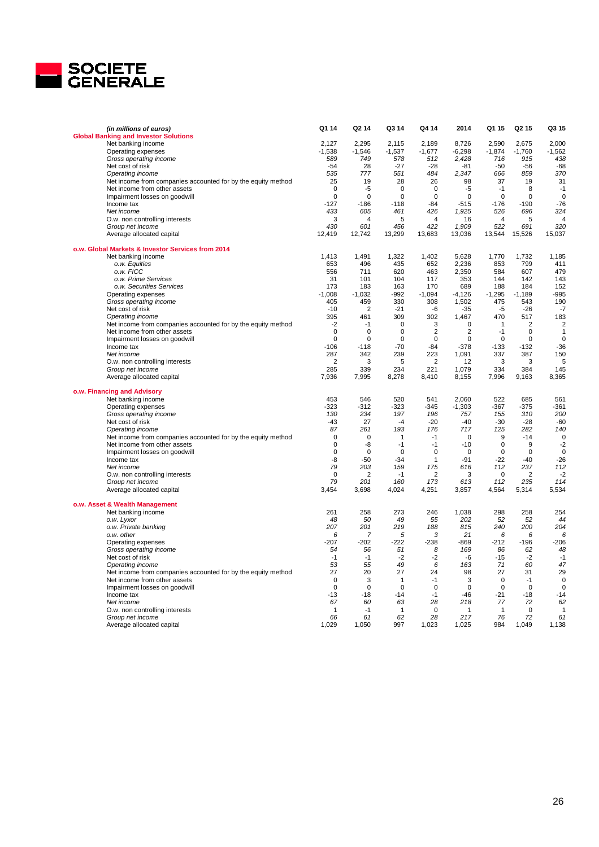

| (in millions of euros)<br><b>Global Banking and Investor Solutions</b> | Q1 14        | Q2 14          | Q3 14        | Q4 14          | 2014           | Q1 15        | Q <sub>2</sub> 15 | Q3 15          |
|------------------------------------------------------------------------|--------------|----------------|--------------|----------------|----------------|--------------|-------------------|----------------|
| Net banking income                                                     | 2,127        | 2,295          | 2,115        | 2,189          | 8,726          | 2,590        | 2,675             | 2,000          |
| Operating expenses                                                     | $-1,538$     | $-1,546$       | $-1,537$     | $-1,677$       | $-6,298$       | $-1,874$     | $-1,760$          | $-1,562$       |
| Gross operating income                                                 | 589          | 749            | 578          | 512            | 2,428          | 716          | 915               | 438            |
| Net cost of risk                                                       | $-54$        | 28             | $-27$        | $-28$          | -81            | $-50$        | $-56$             | $-68$          |
| Operating income                                                       | 535          | 777            | 551          | 484            | 2,347          | 666          | 859               | 370            |
| Net income from companies accounted for by the equity method           | 25           | 19             | 28           | 26             | 98             | 37           | 19                | 31             |
| Net income from other assets                                           | 0            | -5             | $\mathbf 0$  | $\mathbf 0$    | -5             | $-1$         | 8                 | $-1$           |
| Impairment losses on goodwill                                          | $\mathbf 0$  | $\mathbf 0$    | $\mathbf 0$  | $\mathbf 0$    | $\mathbf 0$    | $\mathbf 0$  | 0                 | $\mathbf 0$    |
| Income tax                                                             | $-127$       | $-186$         | $-118$       | -84            | $-515$         | $-176$       | $-190$            | $-76$          |
| Net income                                                             | 433          | 605            | 461          | 426            | 1,925          | 526          | 696               | 324            |
| O.w. non controlling interests                                         | 3            | 4              | 5            | 4              | 16             | 4            | 5                 | $\overline{4}$ |
| Group net income                                                       | 430          | 601            | 456          | 422            | 1,909          | 522          | 691               | 320            |
| Average allocated capital                                              | 12,419       | 12,742         | 13,299       | 13,683         | 13,036         | 13,544       | 15,526            | 15,037         |
| o.w. Global Markets & Investor Services from 2014                      |              |                |              |                |                |              |                   |                |
| Net banking income                                                     | 1,413        | 1,491          | 1,322        | 1,402          | 5,628          | 1,770        | 1,732             | 1,185          |
| o.w. Equities                                                          | 653          | 496            | 435          | 652            | 2,236          | 853          | 799               | 411            |
| o.w. FICC                                                              | 556          | 711            | 620          | 463            | 2,350          | 584          | 607               | 479            |
| o.w. Prime Services                                                    | 31           | 101            | 104          | 117            | 353            | 144          | 142               | 143            |
| o.w. Securities Services                                               | 173          | 183            | 163          | 170            | 689            | 188          | 184               | 152            |
| Operating expenses                                                     | $-1,008$     | $-1.032$       | -992         | $-1,094$       | -4,126         | $-1,295$     | $-1.189$          | $-995$         |
| Gross operating income                                                 | 405          | 459            | 330          | 308            | 1,502          | 475          | 543               | 190            |
| Net cost of risk                                                       | $-10$        | $\overline{2}$ | $-21$        | -6             | $-35$          | $-5$         | $-26$             | $-7$           |
| Operating income                                                       | 395          | 461            | 309          | 302            | 1,467          | 470          | 517               | 183            |
| Net income from companies accounted for by the equity method           | $-2$         | $-1$           | 0            | 3              | $\mathbf 0$    | $\mathbf{1}$ | 2                 | $\overline{2}$ |
| Net income from other assets                                           | $\pmb{0}$    | $\mathbf 0$    | $\mathbf 0$  | $\overline{2}$ | $\overline{2}$ | $-1$         | 0                 | $\mathbf{1}$   |
| Impairment losses on goodwill                                          | 0            | $\mathbf 0$    | $\mathbf 0$  | $\mathbf 0$    | $\mathbf 0$    | $\mathbf 0$  | 0                 | $\overline{0}$ |
| Income tax                                                             | $-106$       | $-118$         | $-70$        | $-84$          | $-378$         | $-133$       | $-132$            | $-36$          |
| Net income                                                             | 287          | 342            | 239          | 223            | 1.091          | 337          | 387               | 150            |
| O.w. non controlling interests                                         | 2            | 3              | 5            | 2              | 12             | 3            | 3                 | 5              |
| Group net income                                                       | 285          | 339            | 234          | 221            | 1,079          | 334          | 384               | 145            |
| Average allocated capital                                              | 7,936        | 7,995          | 8,278        | 8,410          | 8,155          | 7,996        | 9,163             | 8,365          |
| o.w. Financing and Advisory                                            |              |                |              |                |                |              |                   |                |
| Net banking income                                                     | 453          | 546            | 520          | 541            | 2.060          | 522          | 685               | 561            |
| Operating expenses                                                     | -323         | $-312$         | $-323$       | $-345$         | $-1.303$       | $-367$       | $-375$            | -361           |
| Gross operating income                                                 | 130          | 234            | 197          | 196            | 757            | 155          | 310               | 200            |
| Net cost of risk                                                       | $-43$        | 27             | $-4$         | $-20$          | $-40$          | $-30$        | $-28$             | $-60$          |
| Operating income                                                       | 87           | 261            | 193          | 176            | 717            | 125          | 282               | 140            |
| Net income from companies accounted for by the equity method           | 0            | 0              | 1            | $-1$           | $\mathbf 0$    | 9            | $-14$             | 0              |
| Net income from other assets                                           | $\Omega$     | -8             | $-1$         | $-1$           | $-10$          | $\mathbf 0$  | 9                 | $-2$           |
| Impairment losses on goodwill                                          | $\mathbf 0$  | $\mathbf 0$    | $\mathbf 0$  | $\mathbf 0$    | $\mathbf 0$    | $\mathbf 0$  | $\mathbf 0$       | $\mathbf 0$    |
| Income tax                                                             | -8           | $-50$          | $-34$        | 1              | $-91$          | $-22$        | $-40$             | $-26$          |
| Net income                                                             | 79           | 203            | 159          | 175            | 616            | 112          | 237               | 112            |
| O.w. non controlling interests                                         | $\mathbf 0$  | $\overline{2}$ | $-1$         | $\overline{2}$ | 3              | $\mathbf 0$  | $\overline{2}$    | $-2$           |
| Group net income                                                       | 79           | 201            | 160          | 173            | 613            | 112          | 235               | 114            |
| Average allocated capital                                              | 3,454        | 3,698          | 4,024        | 4,251          | 3,857          | 4,564        | 5,314             | 5,534          |
| o.w. Asset & Wealth Management                                         |              |                |              |                |                |              |                   |                |
| Net banking income                                                     | 261          | 258            | 273          | 246            | 1,038          | 298          | 258               | 254            |
| o.w. Lyxor                                                             | 48           | 50             | 49           | 55             | 202            | 52           | 52                | 44             |
| o.w. Private banking                                                   | 207          | 201            | 219          | 188            | 815            | 240          | 200               | 204            |
| o.w. other                                                             | 6            | 7              | 5            | 3              | 21             | 6            | 6                 | 6              |
| Operating expenses                                                     | -207         | $-202$         | $-222$       | $-238$         | $-869$         | $-212$       | $-196$            | $-206$         |
| Gross operating income                                                 | 54           | 56             | 51           | 8              | 169            | 86           | 62                | 48             |
| Net cost of risk                                                       | $-1$         | $-1$           | $-2$         | $-2$           | -6             | $-15$        | $-2$              | $-1$           |
| Operating income                                                       | 53           | 55             | 49           | 6              | 163            | 71           | 60                | 47             |
| Net income from companies accounted for by the equity method           | 27           | 20             | 27           | 24             | 98             | 27           | 31                | 29             |
| Net income from other assets                                           | $\mathbf 0$  | 3              | $\mathbf{1}$ | $-1$           | 3              | $\mathbf 0$  | $-1$              | $\mathbf 0$    |
| Impairment losses on goodwill                                          | 0            | $\mathbf 0$    | $\mathbf 0$  | $\mathbf 0$    | $\mathbf 0$    | $\mathbf 0$  | 0                 | $\mathbf{0}$   |
| Income tax                                                             | $-13$        | $-18$          | $-14$        | $-1$           | $-46$          | -21          | $-18$             | $-14$          |
| Net income                                                             | 67           | 60             | 63           | 28             | 218            | 77           | 72                | 62             |
| O.w. non controlling interests                                         | $\mathbf{1}$ | $-1$           | $\mathbf{1}$ | $\Omega$       | $\mathbf{1}$   | $\mathbf{1}$ | $\Omega$          | $\overline{1}$ |
| Group net income                                                       | 66           | 61             | 62           | 28             | 217            | 76           | 72                | 61             |
| Average allocated capital                                              | 1,029        | 1.050          | 997          | 1.023          | 1,025          | 984          | 1.049             | 1,138          |